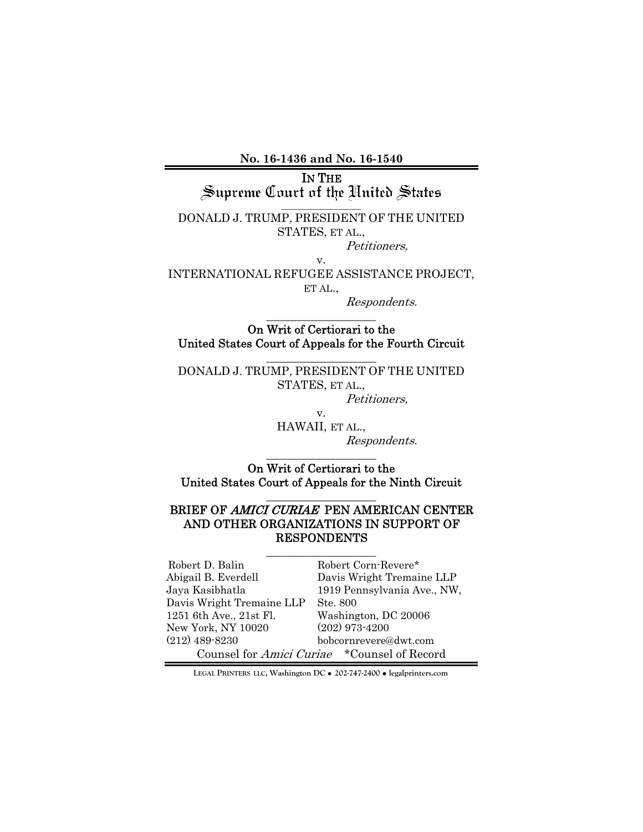**No. 16-1436 and No. 16-1540** 

IN THE<br>Supreme Court of the United States

 $\mathcal{L}=\mathcal{L}$  , we can also the set of the set of the set of the set of the set of the set of the set of the set of the set of the set of the set of the set of the set of the set of the set of the set of the set of the s DONALD J. TRUMP, PRESIDENT OF THE UNITED STATES, ET AL.,

Petitioners,

v.

INTERNATIONAL REFUGEE ASSISTANCE PROJECT, ET AL.,

Respondents.

 $\_$ 

On Writ of Certiorari to the United States Court of Appeals for the Fourth Circuit  $\_$ 

DONALD J. TRUMP, PRESIDENT OF THE UNITED STATES, ET AL.,

v.

Petitioners,

HAWAII, ET AL., Respondents.

On Writ of Certiorari to the United States Court of Appeals for the Ninth Circuit  $\_$ 

 $\_$ 

### BRIEF OF AMICI CURIAE PEN AMERICAN CENTER AND OTHER ORGANIZATIONS IN SUPPORT OF RESPONDENTS

| Robert D. Balin           | Robert Corn-Revere*                                |
|---------------------------|----------------------------------------------------|
| Abigail B. Everdell       | Davis Wright Tremaine LLP                          |
| Jaya Kasibhatla           | 1919 Pennsylvania Ave., NW,                        |
| Davis Wright Tremaine LLP | Ste. 800                                           |
| 1251 6th Ave., 21st Fl.   | Washington, DC 20006                               |
| New York, NY 10020        | $(202)$ 973-4200                                   |
| $(212)$ 489-8230          | bobcornrevere@dwt.com                              |
|                           | Counsel for <i>Amici Curiae</i> *Counsel of Record |

**LEGAL PRINTERS LLC, Washington DC** ! **202-747-2400** ! **legalprinters.com**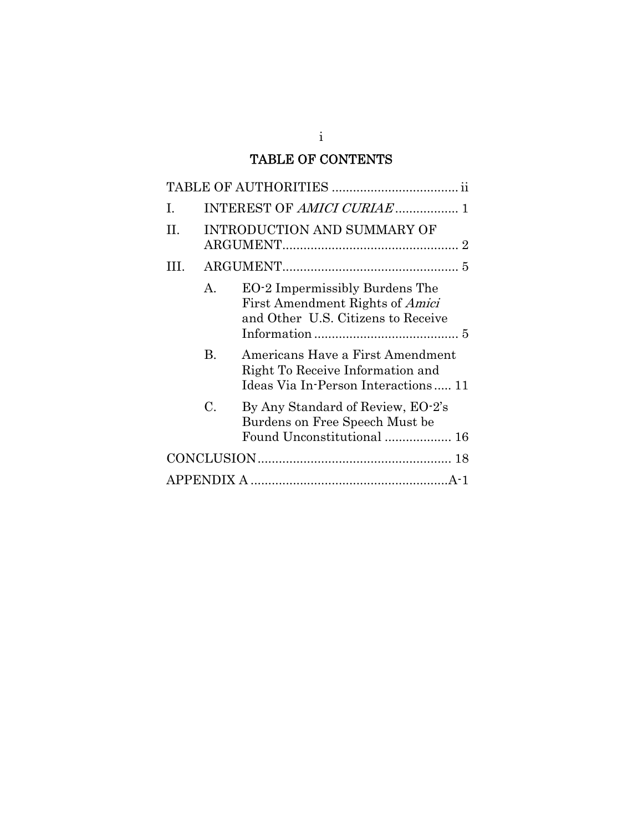# TABLE OF CONTENTS

i

| I.  |         |                                                                                                                |
|-----|---------|----------------------------------------------------------------------------------------------------------------|
| H.  |         | <b>INTRODUCTION AND SUMMARY OF</b>                                                                             |
| HL. |         |                                                                                                                |
|     | $A_{-}$ | EO-2 Impermissibly Burdens The<br>First Amendment Rights of <i>Amici</i><br>and Other U.S. Citizens to Receive |
|     | B.      | Americans Have a First Amendment<br>Right To Receive Information and<br>Ideas Via In-Person Interactions 11    |
|     | C.      | By Any Standard of Review, EO-2's<br>Burdens on Free Speech Must be<br>Found Unconstitutional  16              |
|     |         |                                                                                                                |
|     |         |                                                                                                                |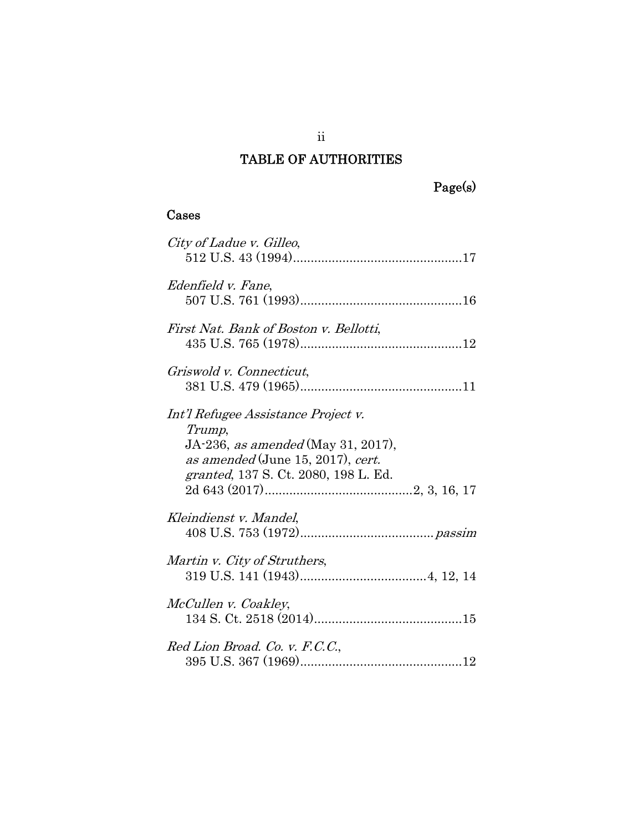# TABLE OF AUTHORITIES

## Cases

| City of Ladue v. Gilleo,                                                                                                                                                 |
|--------------------------------------------------------------------------------------------------------------------------------------------------------------------------|
| Edenfield v. Fane,                                                                                                                                                       |
| First Nat. Bank of Boston v. Bellotti,                                                                                                                                   |
| Griswold v. Connecticut,                                                                                                                                                 |
| Int'l Refugee Assistance Project v.<br>Trump,<br>JA-236, as amended (May 31, 2017),<br>as amended (June 15, 2017), cert.<br><i>granted</i> , 137 S. Ct. 2080, 198 L. Ed. |
| Kleindienst v. Mandel,                                                                                                                                                   |
| Martin v. City of Struthers,                                                                                                                                             |
| McCullen v. Coakley,                                                                                                                                                     |
| Red Lion Broad. Co. v. F.C.C.,                                                                                                                                           |

ii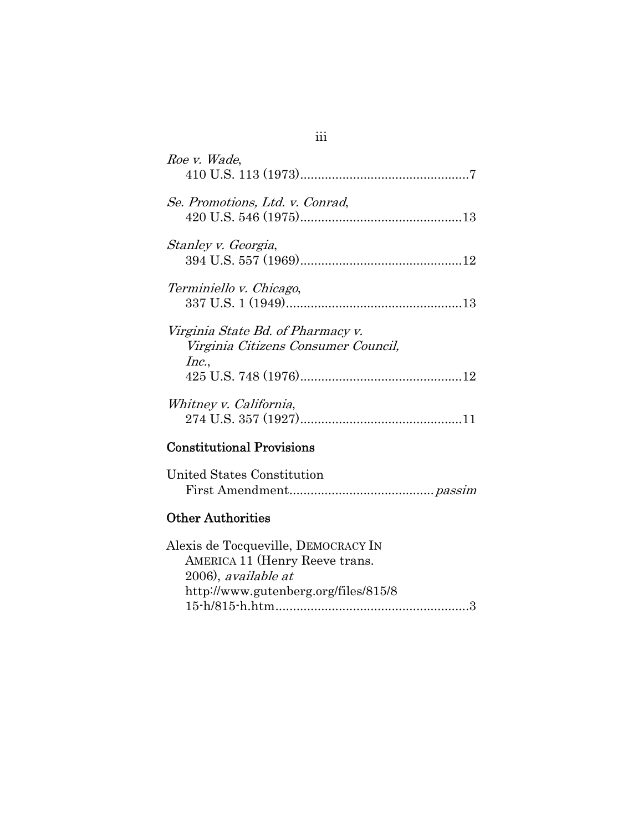| Roe v. Wade,                                                                      |
|-----------------------------------------------------------------------------------|
| Se. Promotions, Ltd. v. Conrad,                                                   |
| Stanley v. Georgia,                                                               |
| Terminiello v. Chicago,                                                           |
| Virginia State Bd. of Pharmacy v.<br>Virginia Citizens Consumer Council,<br>Inc., |
| Whitney v. California,                                                            |
| <b>Constitutional Provisions</b>                                                  |
| United States Constitution                                                        |
| <b>Other Authorities</b>                                                          |

| Alexis de Tocqueville, DEMOCRACY IN  |  |
|--------------------------------------|--|
| AMERICA 11 (Henry Reeve trans.       |  |
| 2006), available at                  |  |
| http://www.gutenberg.org/files/815/8 |  |
|                                      |  |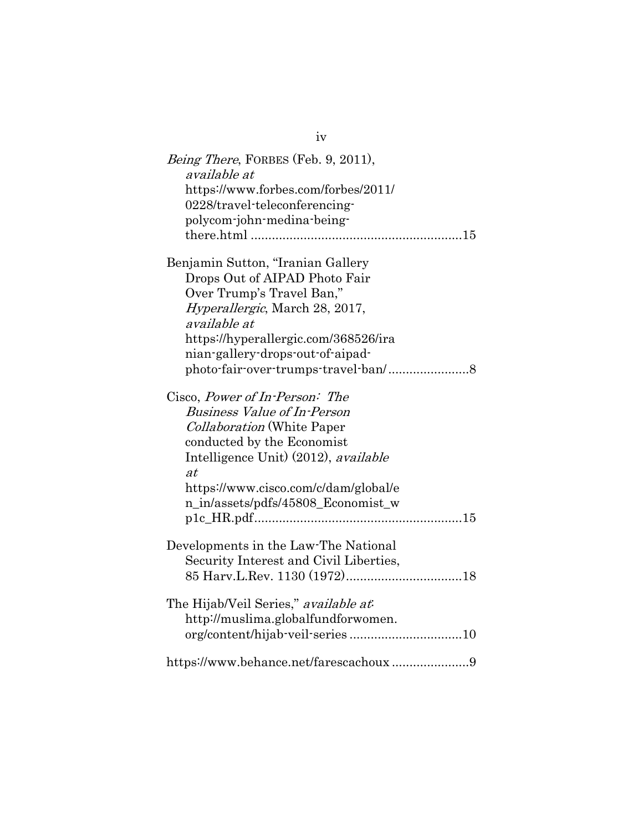| <i>Being There, FORBES (Feb. 9, 2011),</i><br>available at<br>https://www.forbes.com/forbes/2011/<br>0228/travel-teleconferencing-<br>polycom-john-medina-being-                                                                                                    |
|---------------------------------------------------------------------------------------------------------------------------------------------------------------------------------------------------------------------------------------------------------------------|
| Benjamin Sutton, "Iranian Gallery<br>Drops Out of AIPAD Photo Fair<br>Over Trump's Travel Ban,"<br><i>Hyperallergic</i> , March 28, 2017,<br><i>available at</i><br>https://hyperallergic.com/368526/ira<br>nian-gallery-drops-out-of-aipad-                        |
| Cisco, Power of In-Person: The<br><b>Business Value of In-Person</b><br><i>Collaboration</i> (White Paper<br>conducted by the Economist<br>Intelligence Unit) (2012), available<br>at<br>https://www.cisco.com/c/dam/global/e<br>n_in/assets/pdfs/45808_Economist_w |
| Developments in the Law-The National<br>Security Interest and Civil Liberties,                                                                                                                                                                                      |
| The Hijab/Veil Series," available at<br>http://muslima.globalfundforwomen.                                                                                                                                                                                          |
| https://www.behance.net/farescachoux9                                                                                                                                                                                                                               |

iv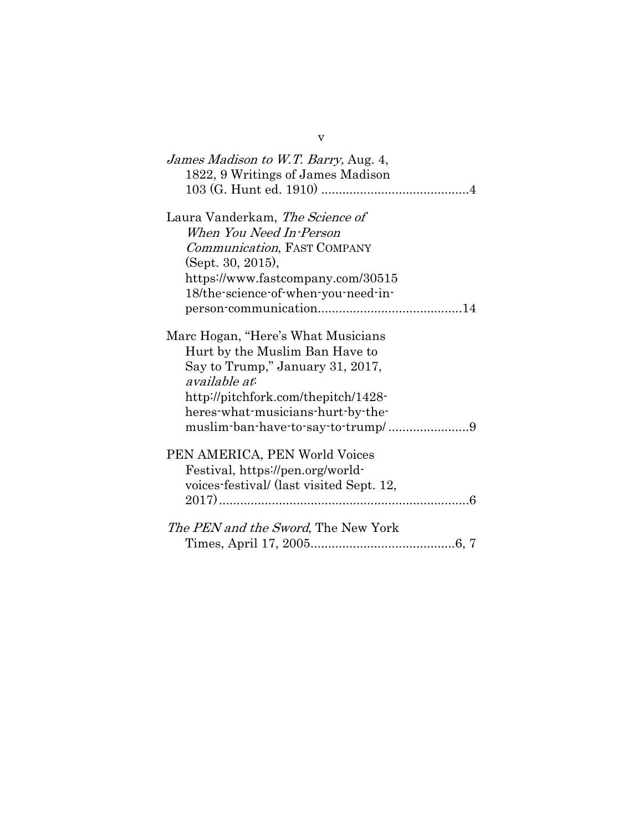| James Madison to W.T. Barry, Aug. 4,<br>1822, 9 Writings of James Madison |
|---------------------------------------------------------------------------|
| Laura Vanderkam, The Science of                                           |
| When You Need In-Person                                                   |
| Communication, FAST COMPANY                                               |
| (Sept. 30, 2015),                                                         |
| https://www.fastcompany.com/30515                                         |
| 18/the-science-of-when-you-need-in-                                       |
|                                                                           |
| Marc Hogan, "Here's What Musicians"                                       |
| Hurt by the Muslim Ban Have to                                            |
| Say to Trump," January 31, 2017,                                          |
| available at:                                                             |
| http://pitchfork.com/thepitch/1428-                                       |
| heres what musicians hurt by the                                          |
| muslim-ban-have-to-say-to-trump/9                                         |
| PEN AMERICA, PEN World Voices                                             |
| Festival, https://pen.org/world-                                          |
| voices-festival/ (last visited Sept. 12,                                  |
|                                                                           |
| <i>The PEN and the Sword</i> , The New York                               |
|                                                                           |

v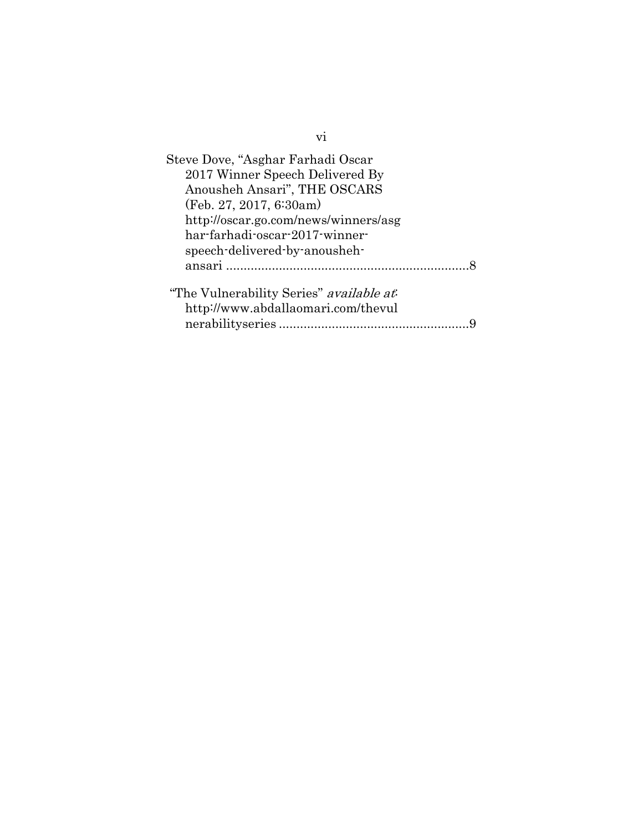| Steve Dove, "Asghar Farhadi Oscar"             |  |
|------------------------------------------------|--|
| 2017 Winner Speech Delivered By                |  |
| Anousheh Ansari", THE OSCARS                   |  |
| (Feb. 27, 2017, 6:30am)                        |  |
| http://oscar.go.com/news/winners/asg           |  |
| har-farhadi-oscar-2017-winner-                 |  |
| speech-delivered-by-anousheh-                  |  |
|                                                |  |
| "The Vulnerability Series" <i>available at</i> |  |
| http://www.abdallaomari.com/thevul             |  |
|                                                |  |
|                                                |  |

vi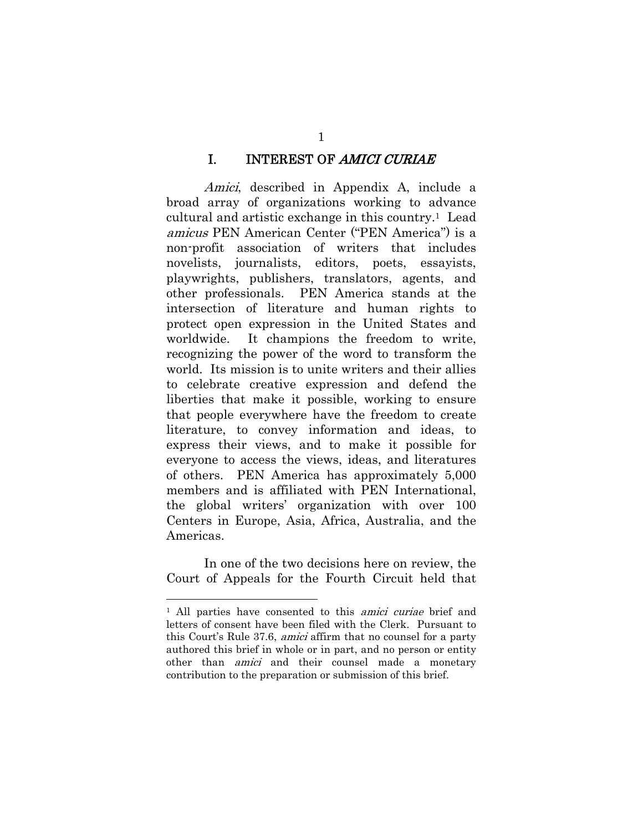#### I. INTEREST OF AMICI CURIAE

Amici, described in Appendix A, include a broad array of organizations working to advance cultural and artistic exchange in this country.1 Lead amicus PEN American Center ("PEN America") is a non-profit association of writers that includes novelists, journalists, editors, poets, essayists, playwrights, publishers, translators, agents, and other professionals. PEN America stands at the intersection of literature and human rights to protect open expression in the United States and worldwide. It champions the freedom to write, recognizing the power of the word to transform the world. Its mission is to unite writers and their allies to celebrate creative expression and defend the liberties that make it possible, working to ensure that people everywhere have the freedom to create literature, to convey information and ideas, to express their views, and to make it possible for everyone to access the views, ideas, and literatures of others. PEN America has approximately 5,000 members and is affiliated with PEN International, the global writers' organization with over 100 Centers in Europe, Asia, Africa, Australia, and the Americas.

In one of the two decisions here on review, the Court of Appeals for the Fourth Circuit held that

l

1

<sup>&</sup>lt;sup>1</sup> All parties have consented to this *amici curiae* brief and letters of consent have been filed with the Clerk. Pursuant to this Court's Rule 37.6, amici affirm that no counsel for a party authored this brief in whole or in part, and no person or entity other than amici and their counsel made a monetary contribution to the preparation or submission of this brief.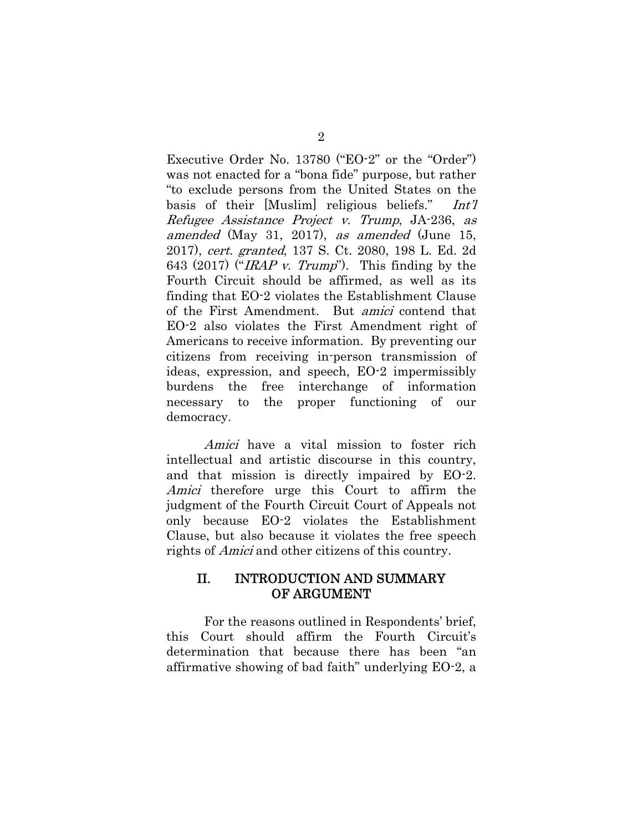Executive Order No. 13780 ("EO-2" or the "Order") was not enacted for a "bona fide" purpose, but rather "to exclude persons from the United States on the basis of their [Muslim] religious beliefs." Int'l Refugee Assistance Project v. Trump, JA-236, as amended (May 31, 2017), as amended (June 15, 2017), cert. granted, 137 S. Ct. 2080, 198 L. Ed. 2d 643 (2017) ("IRAP v. Trump"). This finding by the Fourth Circuit should be affirmed, as well as its finding that EO-2 violates the Establishment Clause of the First Amendment. But amici contend that EO-2 also violates the First Amendment right of Americans to receive information. By preventing our citizens from receiving in-person transmission of ideas, expression, and speech, EO-2 impermissibly burdens the free interchange of information necessary to the proper functioning of our democracy.

Amici have a vital mission to foster rich intellectual and artistic discourse in this country, and that mission is directly impaired by EO-2. Amici therefore urge this Court to affirm the judgment of the Fourth Circuit Court of Appeals not only because EO-2 violates the Establishment Clause, but also because it violates the free speech rights of Amici and other citizens of this country.

### II. INTRODUCTION AND SUMMARY OF ARGUMENT

For the reasons outlined in Respondents' brief, this Court should affirm the Fourth Circuit's determination that because there has been "an affirmative showing of bad faith" underlying EO-2, a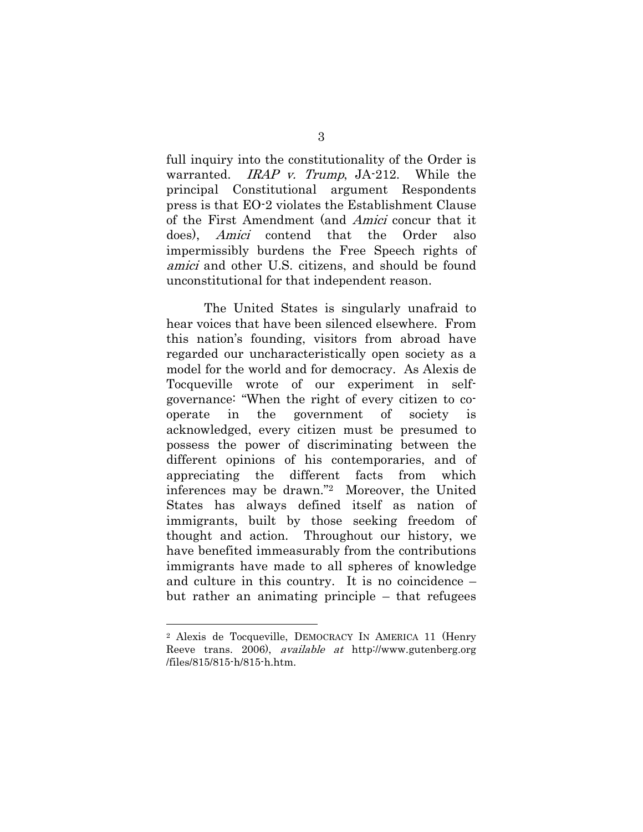full inquiry into the constitutionality of the Order is warranted. *IRAP v. Trump*, JA-212. While the principal Constitutional argument Respondents press is that EO-2 violates the Establishment Clause of the First Amendment (and Amici concur that it does), Amici contend that the Order also impermissibly burdens the Free Speech rights of amici and other U.S. citizens, and should be found unconstitutional for that independent reason.

The United States is singularly unafraid to hear voices that have been silenced elsewhere. From this nation's founding, visitors from abroad have regarded our uncharacteristically open society as a model for the world and for democracy. As Alexis de Tocqueville wrote of our experiment in selfgovernance: "When the right of every citizen to cooperate in the government of society is acknowledged, every citizen must be presumed to possess the power of discriminating between the different opinions of his contemporaries, and of appreciating the different facts from which inferences may be drawn."2 Moreover, the United States has always defined itself as nation of immigrants, built by those seeking freedom of thought and action. Throughout our history, we have benefited immeasurably from the contributions immigrants have made to all spheres of knowledge and culture in this country. It is no coincidence – but rather an animating principle – that refugees

<sup>2</sup> Alexis de Tocqueville, DEMOCRACY IN AMERICA 11 (Henry Reeve trans. 2006), available at http://www.gutenberg.org /files/815/815-h/815-h.htm.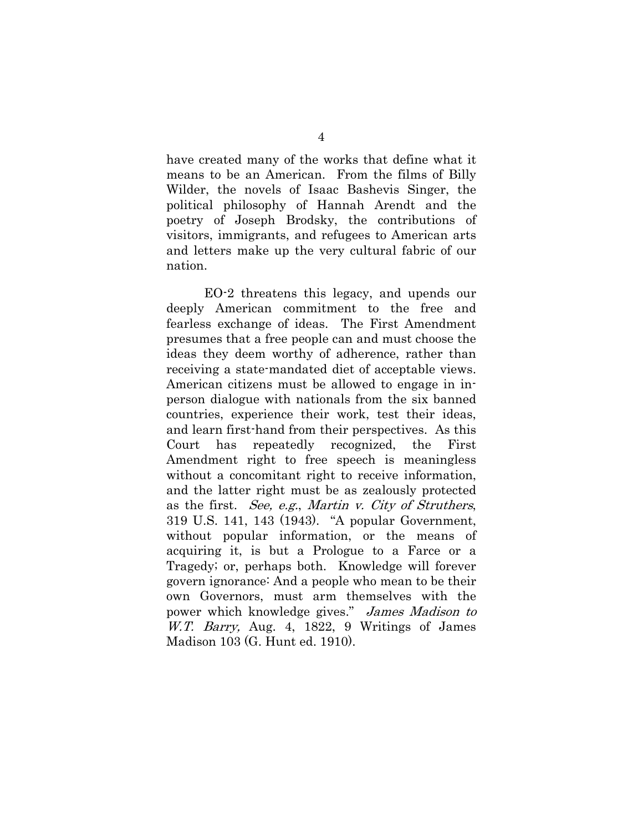have created many of the works that define what it means to be an American. From the films of Billy Wilder, the novels of Isaac Bashevis Singer, the political philosophy of Hannah Arendt and the poetry of Joseph Brodsky, the contributions of visitors, immigrants, and refugees to American arts and letters make up the very cultural fabric of our nation.

EO-2 threatens this legacy, and upends our deeply American commitment to the free and fearless exchange of ideas. The First Amendment presumes that a free people can and must choose the ideas they deem worthy of adherence, rather than receiving a state-mandated diet of acceptable views. American citizens must be allowed to engage in inperson dialogue with nationals from the six banned countries, experience their work, test their ideas, and learn first-hand from their perspectives. As this Court has repeatedly recognized, the First Amendment right to free speech is meaningless without a concomitant right to receive information, and the latter right must be as zealously protected as the first. See, e.g., Martin v. City of Struthers, 319 U.S. 141, 143 (1943). "A popular Government, without popular information, or the means of acquiring it, is but a Prologue to a Farce or a Tragedy; or, perhaps both. Knowledge will forever govern ignorance: And a people who mean to be their own Governors, must arm themselves with the power which knowledge gives." James Madison to W.T. Barry, Aug. 4, 1822, 9 Writings of James Madison 103 (G. Hunt ed. 1910).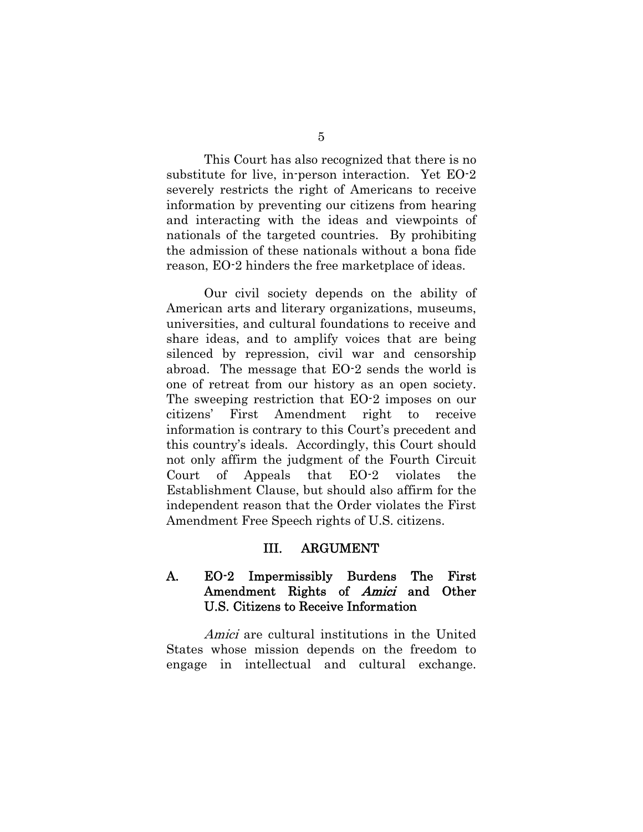This Court has also recognized that there is no substitute for live, in-person interaction. Yet EO-2 severely restricts the right of Americans to receive information by preventing our citizens from hearing and interacting with the ideas and viewpoints of nationals of the targeted countries. By prohibiting the admission of these nationals without a bona fide reason, EO-2 hinders the free marketplace of ideas.

Our civil society depends on the ability of American arts and literary organizations, museums, universities, and cultural foundations to receive and share ideas, and to amplify voices that are being silenced by repression, civil war and censorship abroad. The message that EO-2 sends the world is one of retreat from our history as an open society. The sweeping restriction that EO-2 imposes on our citizens' First Amendment right to receive information is contrary to this Court's precedent and this country's ideals. Accordingly, this Court should not only affirm the judgment of the Fourth Circuit Court of Appeals that EO-2 violates the Establishment Clause, but should also affirm for the independent reason that the Order violates the First Amendment Free Speech rights of U.S. citizens.

#### III. ARGUMENT

### A. EO-2 Impermissibly Burdens The First Amendment Rights of Amici and Other U.S. Citizens to Receive Information

Amici are cultural institutions in the United States whose mission depends on the freedom to engage in intellectual and cultural exchange.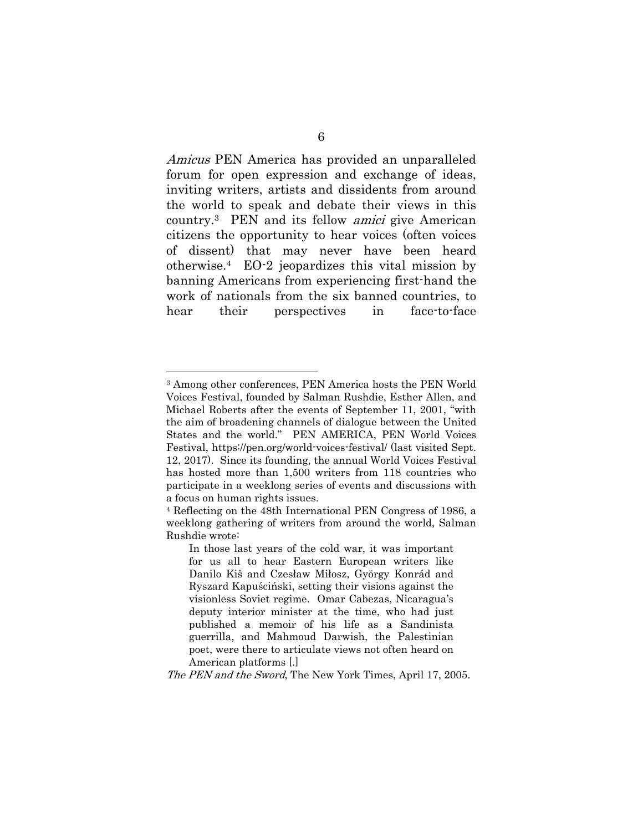Amicus PEN America has provided an unparalleled forum for open expression and exchange of ideas, inviting writers, artists and dissidents from around the world to speak and debate their views in this country.3 PEN and its fellow amici give American citizens the opportunity to hear voices (often voices of dissent) that may never have been heard otherwise.4 EO-2 jeopardizes this vital mission by banning Americans from experiencing first-hand the work of nationals from the six banned countries, to hear their perspectives in face-to-face

l

The PEN and the Sword, The New York Times, April 17, 2005.

<sup>3</sup> Among other conferences, PEN America hosts the PEN World Voices Festival, founded by Salman Rushdie, Esther Allen, and Michael Roberts after the events of September 11, 2001, "with the aim of broadening channels of dialogue between the United States and the world." PEN AMERICA, PEN World Voices Festival, https://pen.org/world-voices-festival/ (last visited Sept. 12, 2017). Since its founding, the annual World Voices Festival has hosted more than 1,500 writers from 118 countries who participate in a weeklong series of events and discussions with a focus on human rights issues.

<sup>4</sup> Reflecting on the 48th International PEN Congress of 1986, a weeklong gathering of writers from around the world, Salman Rushdie wrote:

In those last years of the cold war, it was important for us all to hear Eastern European writers like Danilo Kiš and Czesław Miłosz, György Konrád and Ryszard Kapuściński, setting their visions against the visionless Soviet regime. Omar Cabezas, Nicaragua's deputy interior minister at the time, who had just published a memoir of his life as a Sandinista guerrilla, and Mahmoud Darwish, the Palestinian poet, were there to articulate views not often heard on American platforms [.]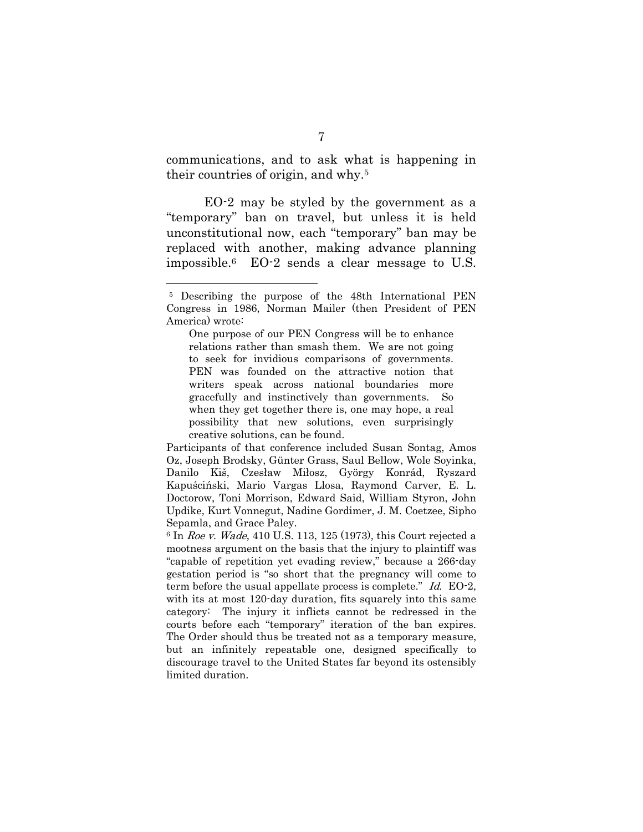communications, and to ask what is happening in their countries of origin, and why.5

EO-2 may be styled by the government as a "temporary" ban on travel, but unless it is held unconstitutional now, each "temporary" ban may be replaced with another, making advance planning impossible.6 EO-2 sends a clear message to U.S.

One purpose of our PEN Congress will be to enhance relations rather than smash them. We are not going to seek for invidious comparisons of governments. PEN was founded on the attractive notion that writers speak across national boundaries more gracefully and instinctively than governments. So when they get together there is, one may hope, a real possibility that new solutions, even surprisingly creative solutions, can be found.

Participants of that conference included Susan Sontag, Amos Oz, Joseph Brodsky, Günter Grass, Saul Bellow, Wole Soyinka, Danilo Kiš, Czesław Miłosz, György Konrád, Ryszard Kapuściński, Mario Vargas Llosa, Raymond Carver, E. L. Doctorow, Toni Morrison, Edward Said, William Styron, John Updike, Kurt Vonnegut, Nadine Gordimer, J. M. Coetzee, Sipho Sepamla, and Grace Paley.

 $6$  In Roe v. Wade, 410 U.S. 113, 125 (1973), this Court rejected a mootness argument on the basis that the injury to plaintiff was "capable of repetition yet evading review," because a 266-day gestation period is "so short that the pregnancy will come to term before the usual appellate process is complete." Id. EO-2, with its at most 120-day duration, fits squarely into this same category: The injury it inflicts cannot be redressed in the courts before each "temporary" iteration of the ban expires. The Order should thus be treated not as a temporary measure, but an infinitely repeatable one, designed specifically to discourage travel to the United States far beyond its ostensibly limited duration.

<sup>5</sup> Describing the purpose of the 48th International PEN Congress in 1986, Norman Mailer (then President of PEN America) wrote: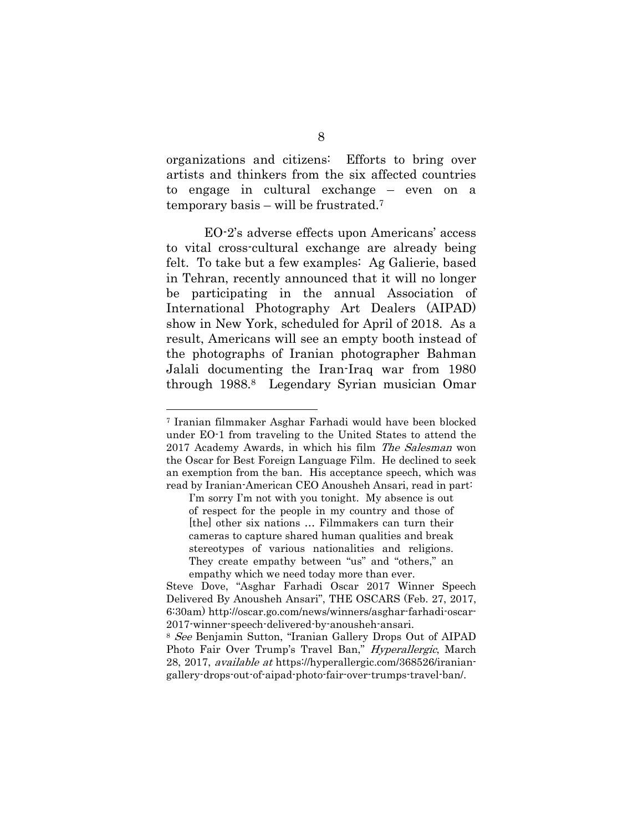organizations and citizens: Efforts to bring over artists and thinkers from the six affected countries to engage in cultural exchange – even on a temporary basis – will be frustrated.7

EO-2's adverse effects upon Americans' access to vital cross-cultural exchange are already being felt. To take but a few examples: Ag Galierie, based in Tehran, recently announced that it will no longer be participating in the annual Association of International Photography Art Dealers (AIPAD) show in New York, scheduled for April of 2018. As a result, Americans will see an empty booth instead of the photographs of Iranian photographer Bahman Jalali documenting the Iran-Iraq war from 1980 through 1988.8 Legendary Syrian musician Omar

<sup>7</sup> Iranian filmmaker Asghar Farhadi would have been blocked under EO-1 from traveling to the United States to attend the 2017 Academy Awards, in which his film The Salesman won the Oscar for Best Foreign Language Film. He declined to seek an exemption from the ban. His acceptance speech, which was read by Iranian-American CEO Anousheh Ansari, read in part:

I'm sorry I'm not with you tonight. My absence is out of respect for the people in my country and those of [the] other six nations … Filmmakers can turn their cameras to capture shared human qualities and break stereotypes of various nationalities and religions. They create empathy between "us" and "others," an empathy which we need today more than ever.

Steve Dove, "Asghar Farhadi Oscar 2017 Winner Speech Delivered By Anousheh Ansari", THE OSCARS (Feb. 27, 2017, 6:30am) http://oscar.go.com/news/winners/asghar-farhadi-oscar-2017-winner-speech-delivered-by-anousheh-ansari.

<sup>8</sup> See Benjamin Sutton, "Iranian Gallery Drops Out of AIPAD Photo Fair Over Trump's Travel Ban," Hyperallergic, March 28, 2017, available at https://hyperallergic.com/368526/iraniangallery-drops-out-of-aipad-photo-fair-over-trumps-travel-ban/.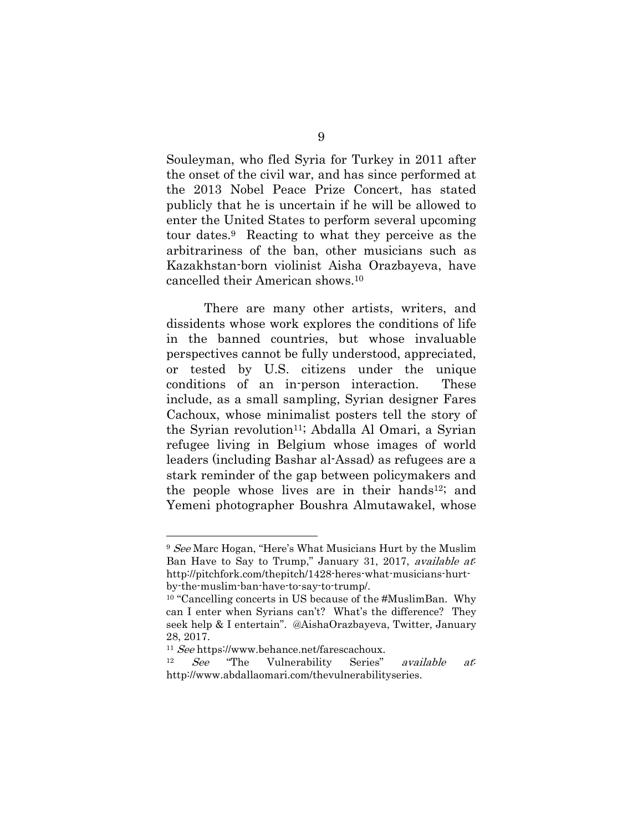Souleyman, who fled Syria for Turkey in 2011 after the onset of the civil war, and has since performed at the 2013 Nobel Peace Prize Concert, has stated publicly that he is uncertain if he will be allowed to enter the United States to perform several upcoming tour dates.9 Reacting to what they perceive as the arbitrariness of the ban, other musicians such as Kazakhstan-born violinist Aisha Orazbayeva, have cancelled their American shows.10

There are many other artists, writers, and dissidents whose work explores the conditions of life in the banned countries, but whose invaluable perspectives cannot be fully understood, appreciated, or tested by U.S. citizens under the unique conditions of an in-person interaction. These include, as a small sampling, Syrian designer Fares Cachoux, whose minimalist posters tell the story of the Syrian revolution<sup>11</sup>; Abdalla Al Omari, a Syrian refugee living in Belgium whose images of world leaders (including Bashar al-Assad) as refugees are a stark reminder of the gap between policymakers and the people whose lives are in their hands12; and Yemeni photographer Boushra Almutawakel, whose

<sup>9</sup> See Marc Hogan, "Here's What Musicians Hurt by the Muslim Ban Have to Say to Trump," January 31, 2017, *available at* http://pitchfork.com/thepitch/1428-heres-what-musicians-hurtby-the-muslim-ban-have-to-say-to-trump/.

<sup>&</sup>lt;sup>10</sup> "Cancelling concerts in US because of the #MuslimBan. Why can I enter when Syrians can't? What's the difference? They seek help & I entertain". @AishaOrazbayeva, Twitter, January 28, 2017.

<sup>&</sup>lt;sup>11</sup> See https://www.behance.net/farescachoux.<br><sup>12</sup> See "The Vulnerability Series" *available at*: http://www.abdallaomari.com/thevulnerabilityseries.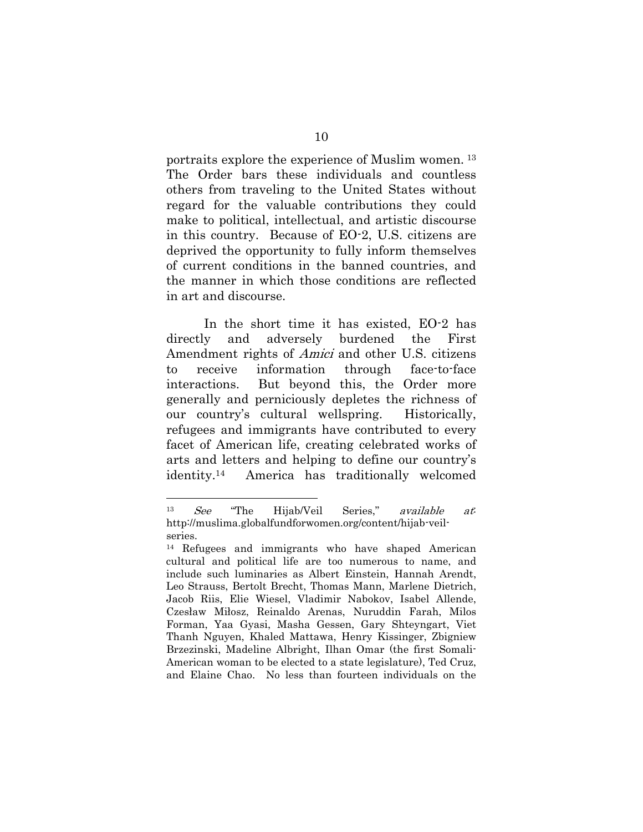portraits explore the experience of Muslim women. 13 The Order bars these individuals and countless others from traveling to the United States without regard for the valuable contributions they could make to political, intellectual, and artistic discourse in this country. Because of EO-2, U.S. citizens are deprived the opportunity to fully inform themselves of current conditions in the banned countries, and the manner in which those conditions are reflected in art and discourse.

In the short time it has existed, EO-2 has directly and adversely burdened the First Amendment rights of Amici and other U.S. citizens to receive information through face-to-face interactions. But beyond this, the Order more generally and perniciously depletes the richness of our country's cultural wellspring. Historically, refugees and immigrants have contributed to every facet of American life, creating celebrated works of arts and letters and helping to define our country's identity.14 America has traditionally welcomed

<sup>13</sup> See "The Hijab/Veil Series," available at: http://muslima.globalfundforwomen.org/content/hijab-veilseries.

<sup>14</sup> Refugees and immigrants who have shaped American cultural and political life are too numerous to name, and include such luminaries as Albert Einstein, Hannah Arendt, Leo Strauss, Bertolt Brecht, Thomas Mann, Marlene Dietrich, Jacob Riis, Elie Wiesel, Vladimir Nabokov, Isabel Allende, Czesław Miłosz, Reinaldo Arenas, Nuruddin Farah, Milos Forman, Yaa Gyasi, Masha Gessen, Gary Shteyngart, Viet Thanh Nguyen, Khaled Mattawa, Henry Kissinger, Zbigniew Brzezinski, Madeline Albright, Ilhan Omar (the first Somali-American woman to be elected to a state legislature), Ted Cruz, and Elaine Chao. No less than fourteen individuals on the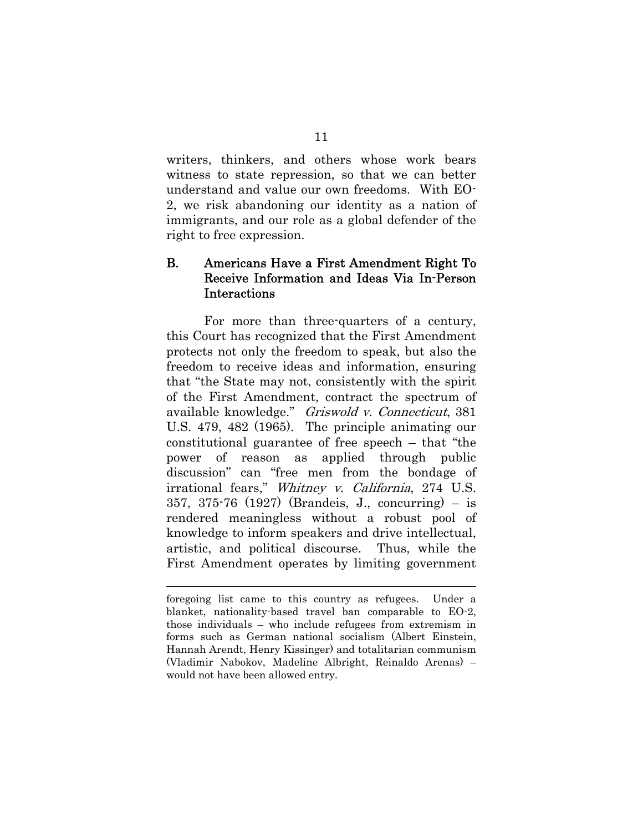writers, thinkers, and others whose work bears witness to state repression, so that we can better understand and value our own freedoms. With EO-2, we risk abandoning our identity as a nation of immigrants, and our role as a global defender of the right to free expression.

## B. Americans Have a First Amendment Right To Receive Information and Ideas Via In-Person Interactions

For more than three-quarters of a century, this Court has recognized that the First Amendment protects not only the freedom to speak, but also the freedom to receive ideas and information, ensuring that "the State may not, consistently with the spirit of the First Amendment, contract the spectrum of available knowledge." Griswold v. Connecticut, 381 U.S. 479, 482 (1965). The principle animating our constitutional guarantee of free speech – that "the power of reason as applied through public discussion" can "free men from the bondage of irrational fears," Whitney v. California, 274 U.S. 357, 375-76 (1927) (Brandeis, J., concurring) – is rendered meaningless without a robust pool of knowledge to inform speakers and drive intellectual, artistic, and political discourse. Thus, while the First Amendment operates by limiting government

foregoing list came to this country as refugees. Under a blanket, nationality-based travel ban comparable to EO-2, those individuals – who include refugees from extremism in forms such as German national socialism (Albert Einstein, Hannah Arendt, Henry Kissinger) and totalitarian communism (Vladimir Nabokov, Madeline Albright, Reinaldo Arenas) – would not have been allowed entry.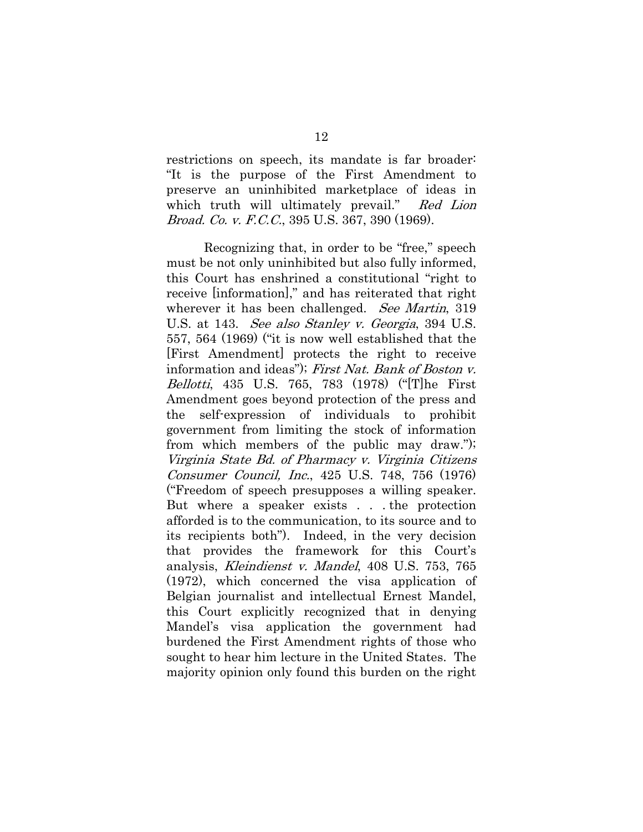restrictions on speech, its mandate is far broader: "It is the purpose of the First Amendment to preserve an uninhibited marketplace of ideas in which truth will ultimately prevail." Red Lion Broad. Co. v. F.C.C., 395 U.S. 367, 390 (1969).

Recognizing that, in order to be "free," speech must be not only uninhibited but also fully informed, this Court has enshrined a constitutional "right to receive [information]," and has reiterated that right wherever it has been challenged. See Martin, 319 U.S. at 143. See also Stanley v. Georgia, 394 U.S. 557, 564 (1969) ("it is now well established that the [First Amendment] protects the right to receive information and ideas"); First Nat. Bank of Boston v. Bellotti, 435 U.S. 765, 783 (1978) ("[T]he First Amendment goes beyond protection of the press and the self-expression of individuals to prohibit government from limiting the stock of information from which members of the public may draw."); Virginia State Bd. of Pharmacy v. Virginia Citizens Consumer Council, Inc., 425 U.S. 748, 756 (1976) ("Freedom of speech presupposes a willing speaker. But where a speaker exists . . . the protection afforded is to the communication, to its source and to its recipients both"). Indeed, in the very decision that provides the framework for this Court's analysis, Kleindienst v. Mandel, 408 U.S. 753, 765 (1972), which concerned the visa application of Belgian journalist and intellectual Ernest Mandel, this Court explicitly recognized that in denying Mandel's visa application the government had burdened the First Amendment rights of those who sought to hear him lecture in the United States. The majority opinion only found this burden on the right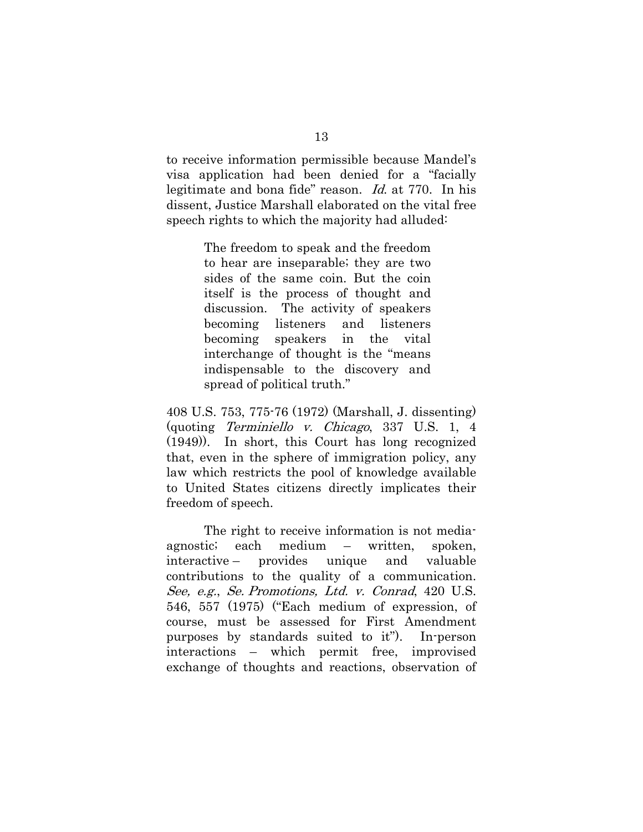to receive information permissible because Mandel's visa application had been denied for a "facially legitimate and bona fide" reason. Id. at 770. In his dissent, Justice Marshall elaborated on the vital free speech rights to which the majority had alluded:

> The freedom to speak and the freedom to hear are inseparable; they are two sides of the same coin. But the coin itself is the process of thought and discussion. The activity of speakers becoming listeners and listeners becoming speakers in the vital interchange of thought is the "means indispensable to the discovery and spread of political truth."

408 U.S. 753, 775-76 (1972) (Marshall, J. dissenting) (quoting Terminiello v. Chicago, 337 U.S. 1, 4 (1949)). In short, this Court has long recognized that, even in the sphere of immigration policy, any law which restricts the pool of knowledge available to United States citizens directly implicates their freedom of speech.

The right to receive information is not mediaagnostic; each medium – written, spoken, interactive – provides unique and valuable contributions to the quality of a communication. See, e.g., Se. Promotions, Ltd. v. Conrad, 420 U.S. 546, 557 (1975) ("Each medium of expression, of course, must be assessed for First Amendment purposes by standards suited to it"). In-person interactions – which permit free, improvised exchange of thoughts and reactions, observation of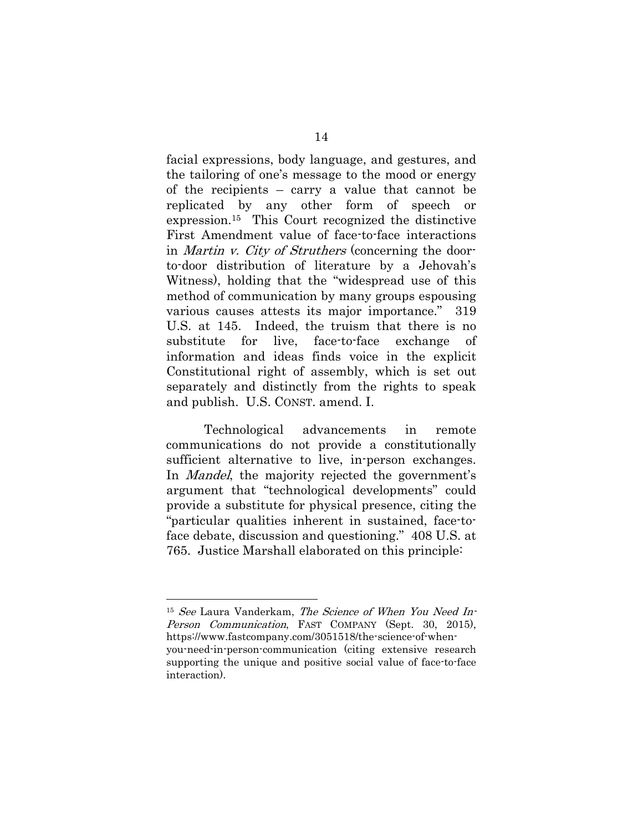facial expressions, body language, and gestures, and the tailoring of one's message to the mood or energy of the recipients – carry a value that cannot be replicated by any other form of speech or expression.15 This Court recognized the distinctive First Amendment value of face-to-face interactions in Martin v. City of Struthers (concerning the doorto-door distribution of literature by a Jehovah's Witness), holding that the "widespread use of this method of communication by many groups espousing various causes attests its major importance." 319 U.S. at 145. Indeed, the truism that there is no substitute for live, face-to-face exchange of information and ideas finds voice in the explicit Constitutional right of assembly, which is set out separately and distinctly from the rights to speak and publish. U.S. CONST. amend. I.

Technological advancements in remote communications do not provide a constitutionally sufficient alternative to live, in-person exchanges. In *Mandel*, the majority rejected the government's argument that "technological developments" could provide a substitute for physical presence, citing the "particular qualities inherent in sustained, face-toface debate, discussion and questioning." 408 U.S. at 765. Justice Marshall elaborated on this principle:

<sup>15</sup> See Laura Vanderkam, The Science of When You Need In-Person Communication, FAST COMPANY (Sept. 30, 2015), https://www.fastcompany.com/3051518/the-science-of-whenyou-need-in-person-communication (citing extensive research supporting the unique and positive social value of face-to-face

interaction).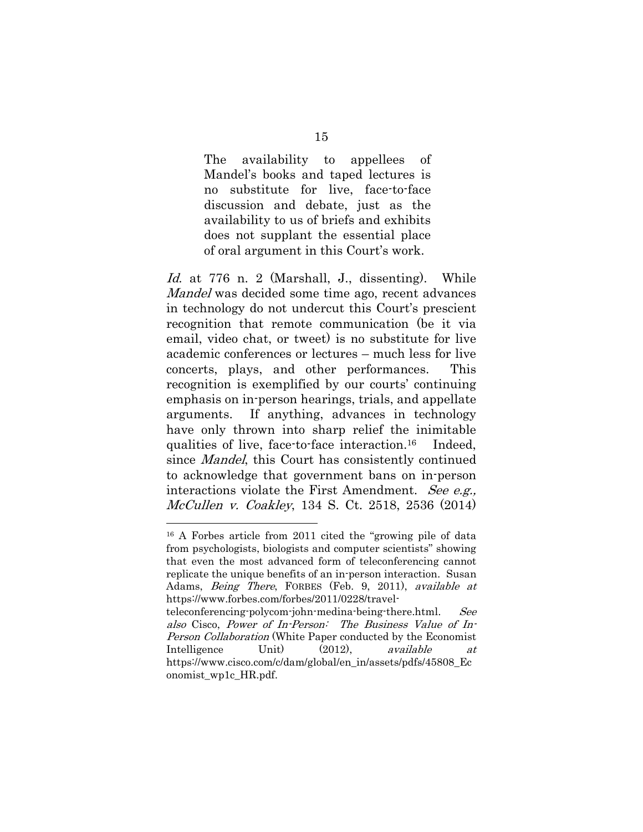The availability to appellees of Mandel's books and taped lectures is no substitute for live, face-to-face discussion and debate, just as the availability to us of briefs and exhibits does not supplant the essential place of oral argument in this Court's work.

Id. at 776 n. 2 (Marshall, J., dissenting). While Mandel was decided some time ago, recent advances in technology do not undercut this Court's prescient recognition that remote communication (be it via email, video chat, or tweet) is no substitute for live academic conferences or lectures – much less for live concerts, plays, and other performances. This recognition is exemplified by our courts' continuing emphasis on in-person hearings, trials, and appellate arguments. If anything, advances in technology have only thrown into sharp relief the inimitable qualities of live, face-to-face interaction.16 Indeed, since *Mandel*, this Court has consistently continued to acknowledge that government bans on in-person interactions violate the First Amendment. See e.g., McCullen v. Coakley, 134 S. Ct. 2518, 2536 (2014)

<sup>16</sup> A Forbes article from 2011 cited the "growing pile of data from psychologists, biologists and computer scientists" showing that even the most advanced form of teleconferencing cannot replicate the unique benefits of an in-person interaction. Susan Adams, *Being There*, FORBES (Feb. 9, 2011), *available at* https://www.forbes.com/forbes/2011/0228/travel-

teleconferencing-polycom-john-medina-being-there.html. See also Cisco, Power of In-Person: The Business Value of In-Person Collaboration (White Paper conducted by the Economist Intelligence Unit) (2012), *available at* https://www.cisco.com/c/dam/global/en\_in/assets/pdfs/45808\_Ec onomist\_wp1c\_HR.pdf.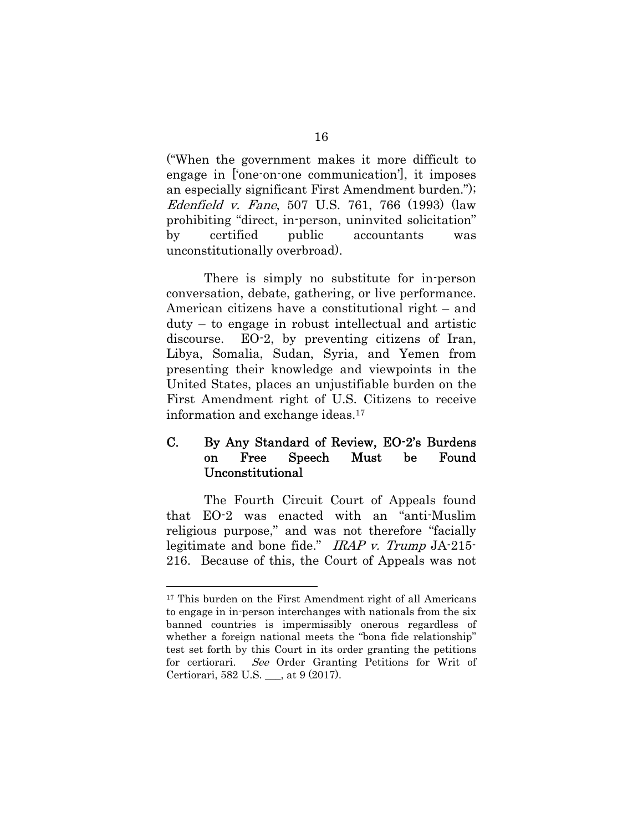("When the government makes it more difficult to engage in ['one-on-one communication'], it imposes an especially significant First Amendment burden."); Edenfield v. Fane, 507 U.S. 761, 766 (1993) (law prohibiting "direct, in-person, uninvited solicitation" by certified public accountants was unconstitutionally overbroad).

There is simply no substitute for in-person conversation, debate, gathering, or live performance. American citizens have a constitutional right – and duty – to engage in robust intellectual and artistic discourse. EO-2, by preventing citizens of Iran, Libya, Somalia, Sudan, Syria, and Yemen from presenting their knowledge and viewpoints in the United States, places an unjustifiable burden on the First Amendment right of U.S. Citizens to receive information and exchange ideas.17

## C. By Any Standard of Review, EO-2's Burdens on Free Speech Must be Found Unconstitutional

The Fourth Circuit Court of Appeals found that EO-2 was enacted with an "anti-Muslim religious purpose," and was not therefore "facially legitimate and bone fide." IRAP v. Trump JA-215- 216. Because of this, the Court of Appeals was not

<sup>17</sup> This burden on the First Amendment right of all Americans to engage in in-person interchanges with nationals from the six banned countries is impermissibly onerous regardless of whether a foreign national meets the "bona fide relationship" test set forth by this Court in its order granting the petitions for certiorari. See Order Granting Petitions for Writ of Certiorari, 582 U.S. \_\_\_, at 9 (2017).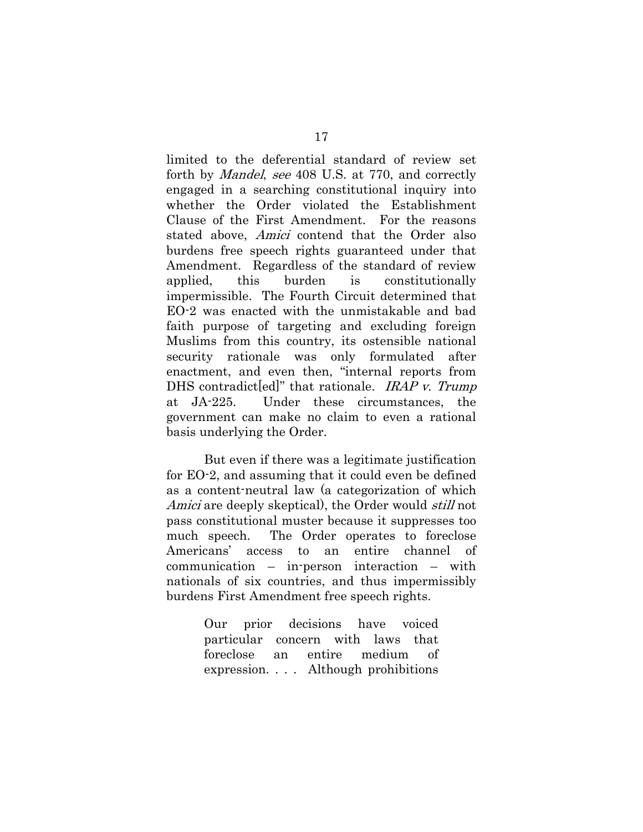limited to the deferential standard of review set forth by Mandel, see 408 U.S. at 770, and correctly engaged in a searching constitutional inquiry into whether the Order violated the Establishment Clause of the First Amendment. For the reasons stated above, Amici contend that the Order also burdens free speech rights guaranteed under that Amendment. Regardless of the standard of review applied, this burden is constitutionally impermissible. The Fourth Circuit determined that EO-2 was enacted with the unmistakable and bad faith purpose of targeting and excluding foreign Muslims from this country, its ostensible national security rationale was only formulated after enactment, and even then, "internal reports from DHS contradict[ed]" that rationale. IRAP v. Trump at JA-225. Under these circumstances, the government can make no claim to even a rational basis underlying the Order.

But even if there was a legitimate justification for EO-2, and assuming that it could even be defined as a content-neutral law (a categorization of which Amici are deeply skeptical), the Order would *still* not pass constitutional muster because it suppresses too much speech. The Order operates to foreclose Americans' access to an entire channel of communication – in-person interaction – with nationals of six countries, and thus impermissibly burdens First Amendment free speech rights.

> Our prior decisions have voiced particular concern with laws that foreclose an entire medium of expression. . . . Although prohibitions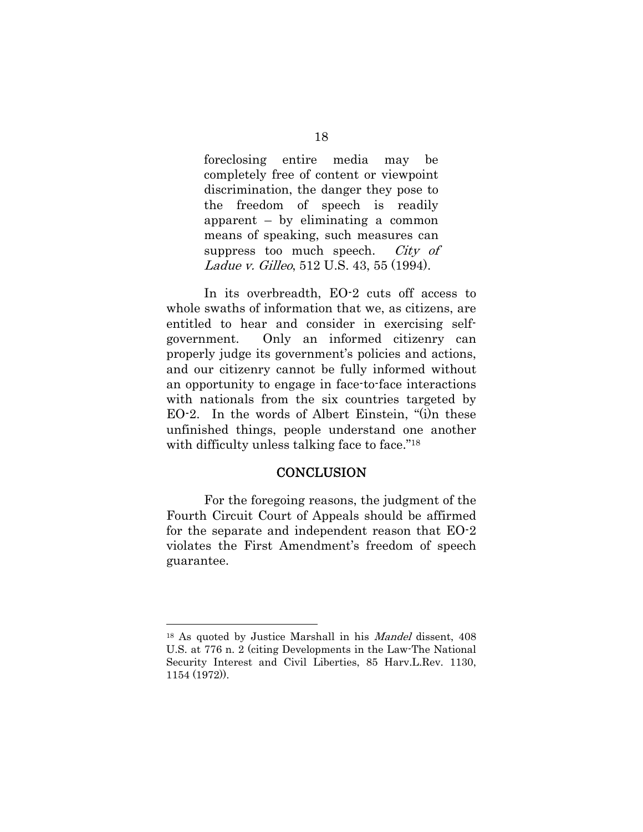foreclosing entire media may be completely free of content or viewpoint discrimination, the danger they pose to the freedom of speech is readily apparent – by eliminating a common means of speaking, such measures can suppress too much speech. *City of* Ladue v. Gilleo, 512 U.S. 43, 55 (1994).

In its overbreadth, EO-2 cuts off access to whole swaths of information that we, as citizens, are entitled to hear and consider in exercising selfgovernment. Only an informed citizenry can properly judge its government's policies and actions, and our citizenry cannot be fully informed without an opportunity to engage in face-to-face interactions with nationals from the six countries targeted by EO-2. In the words of Albert Einstein, "(i)n these unfinished things, people understand one another with difficulty unless talking face to face."<sup>18</sup>

#### **CONCLUSION**

For the foregoing reasons, the judgment of the Fourth Circuit Court of Appeals should be affirmed for the separate and independent reason that EO-2 violates the First Amendment's freedom of speech guarantee.

<sup>18</sup> As quoted by Justice Marshall in his Mandel dissent, 408 U.S. at 776 n. 2 (citing Developments in the Law-The National Security Interest and Civil Liberties, 85 Harv.L.Rev. 1130, 1154 (1972)).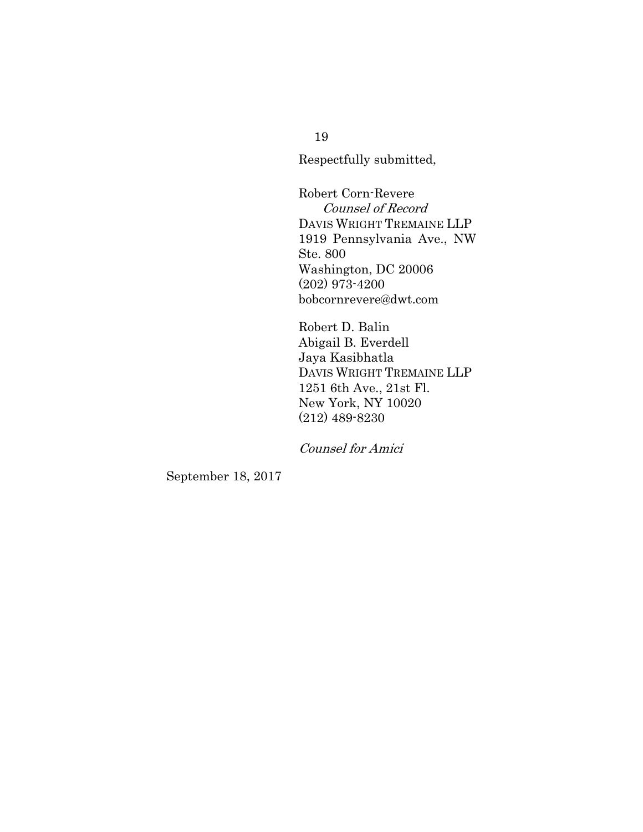Respectfully submitted,

Robert Corn-Revere Counsel of Record DAVIS WRIGHT TREMAINE LLP 1919 Pennsylvania Ave., NW Ste. 800 Washington, DC 20006 (202) 973-4200 bobcornrevere@dwt.com

Robert D. Balin Abigail B. Everdell Jaya Kasibhatla DAVIS WRIGHT TREMAINE LLP 1251 6th Ave., 21st Fl. New York, NY 10020 (212) 489-8230

Counsel for Amici

September 18, 2017

19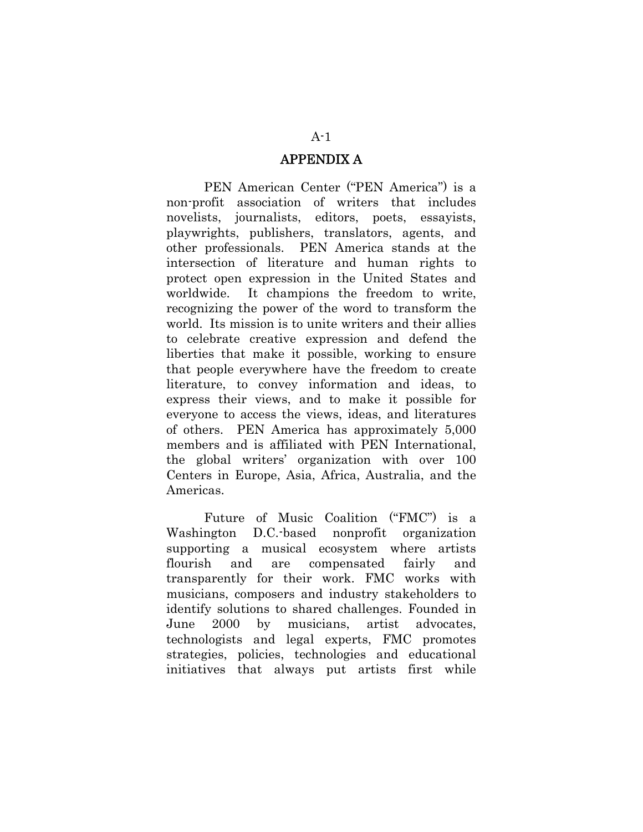#### APPENDIX A

PEN American Center ("PEN America") is a non-profit association of writers that includes novelists, journalists, editors, poets, essayists, playwrights, publishers, translators, agents, and other professionals. PEN America stands at the intersection of literature and human rights to protect open expression in the United States and worldwide. It champions the freedom to write, recognizing the power of the word to transform the world. Its mission is to unite writers and their allies to celebrate creative expression and defend the liberties that make it possible, working to ensure that people everywhere have the freedom to create literature, to convey information and ideas, to express their views, and to make it possible for everyone to access the views, ideas, and literatures of others. PEN America has approximately 5,000 members and is affiliated with PEN International, the global writers' organization with over 100 Centers in Europe, Asia, Africa, Australia, and the Americas.

Future of Music Coalition ("FMC") is a Washington D.C.-based nonprofit organization supporting a musical ecosystem where artists flourish and are compensated fairly and transparently for their work. FMC works with musicians, composers and industry stakeholders to identify solutions to shared challenges. Founded in June 2000 by musicians, artist advocates, technologists and legal experts, FMC promotes strategies, policies, technologies and educational initiatives that always put artists first while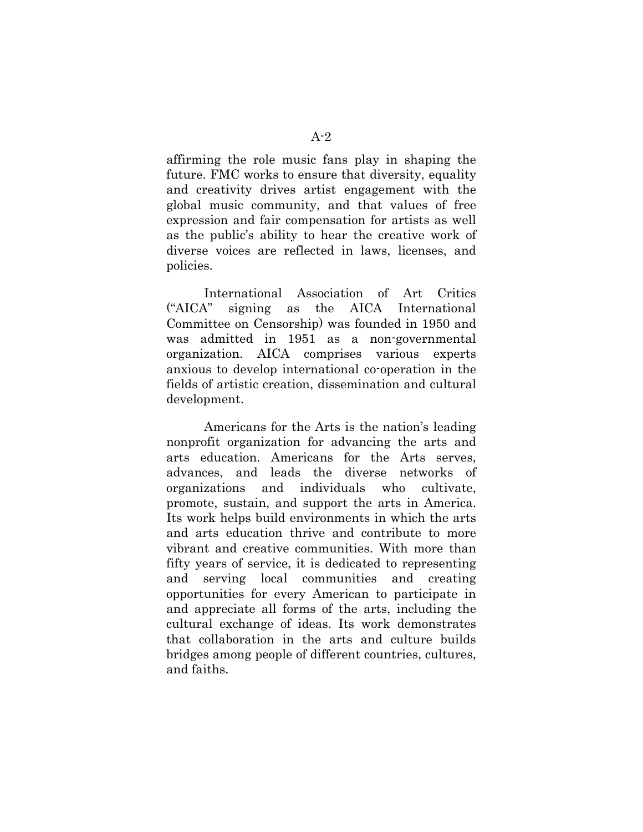affirming the role music fans play in shaping the future. FMC works to ensure that diversity, equality and creativity drives artist engagement with the global music community, and that values of free expression and fair compensation for artists as well as the public's ability to hear the creative work of diverse voices are reflected in laws, licenses, and policies.

International Association of Art Critics ("AICA" signing as the AICA International Committee on Censorship) was founded in 1950 and was admitted in 1951 as a non-governmental organization. AICA comprises various experts anxious to develop international co-operation in the fields of artistic creation, dissemination and cultural development.

Americans for the Arts is the nation's leading nonprofit organization for advancing the arts and arts education. Americans for the Arts serves, advances, and leads the diverse networks of organizations and individuals who cultivate, promote, sustain, and support the arts in America. Its work helps build environments in which the arts and arts education thrive and contribute to more vibrant and creative communities. With more than fifty years of service, it is dedicated to representing and serving local communities and creating opportunities for every American to participate in and appreciate all forms of the arts, including the cultural exchange of ideas. Its work demonstrates that collaboration in the arts and culture builds bridges among people of different countries, cultures, and faiths.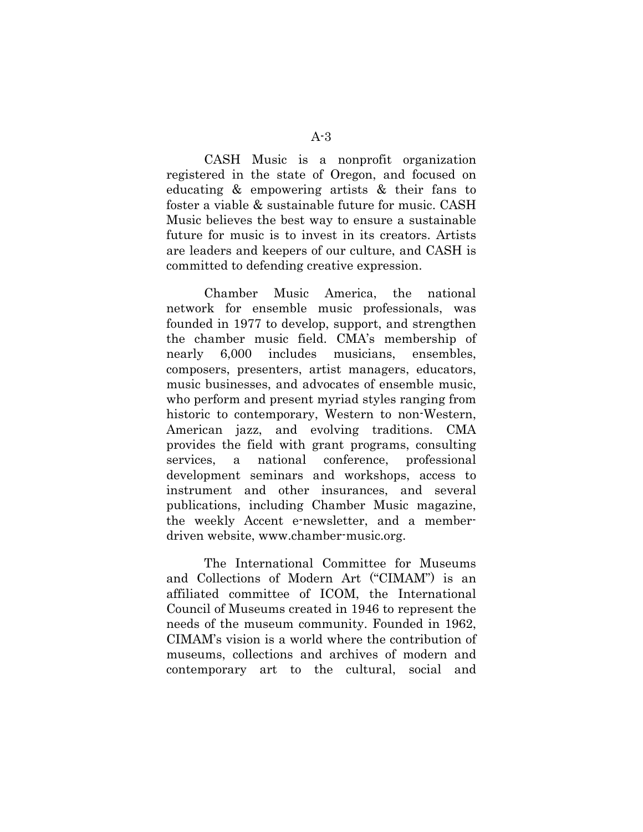CASH Music is a nonprofit organization registered in the state of Oregon, and focused on educating & empowering artists & their fans to foster a viable & sustainable future for music. CASH Music believes the best way to ensure a sustainable future for music is to invest in its creators. Artists are leaders and keepers of our culture, and CASH is committed to defending creative expression.

Chamber Music America, the national network for ensemble music professionals, was founded in 1977 to develop, support, and strengthen the chamber music field. CMA's membership of nearly 6,000 includes musicians, ensembles, composers, presenters, artist managers, educators, music businesses, and advocates of ensemble music, who perform and present myriad styles ranging from historic to contemporary, Western to non-Western, American jazz, and evolving traditions. CMA provides the field with grant programs, consulting services, a national conference, professional development seminars and workshops, access to instrument and other insurances, and several publications, including Chamber Music magazine, the weekly Accent e-newsletter, and a memberdriven website, www.chamber-music.org.

The International Committee for Museums and Collections of Modern Art ("CIMAM") is an affiliated committee of ICOM, the International Council of Museums created in 1946 to represent the needs of the museum community. Founded in 1962, CIMAM's vision is a world where the contribution of museums, collections and archives of modern and contemporary art to the cultural, social and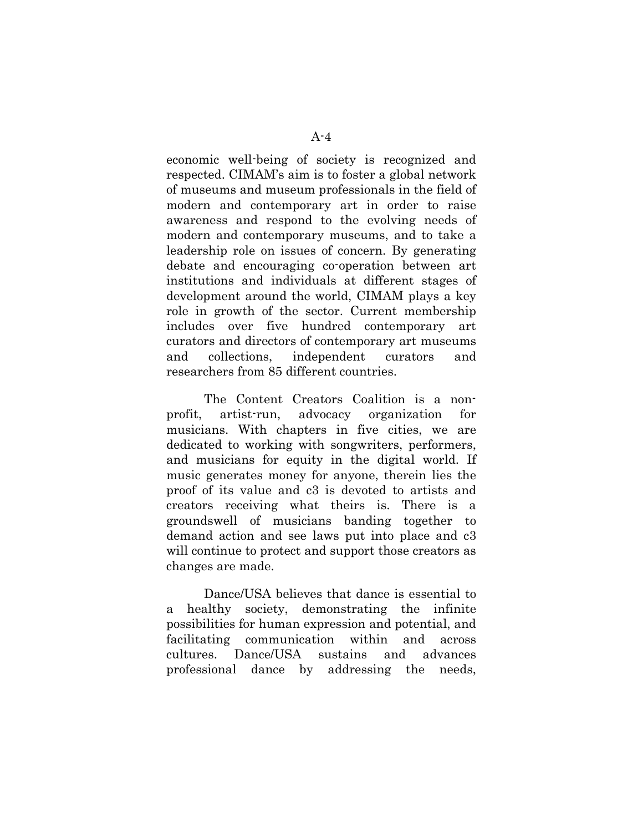economic well-being of society is recognized and respected. CIMAM's aim is to foster a global network of museums and museum professionals in the field of modern and contemporary art in order to raise awareness and respond to the evolving needs of modern and contemporary museums, and to take a leadership role on issues of concern. By generating debate and encouraging co-operation between art institutions and individuals at different stages of development around the world, CIMAM plays a key role in growth of the sector. Current membership includes over five hundred contemporary art curators and directors of contemporary art museums and collections, independent curators and researchers from 85 different countries.

The Content Creators Coalition is a nonprofit, artist-run, advocacy organization for musicians. With chapters in five cities, we are dedicated to working with songwriters, performers, and musicians for equity in the digital world. If music generates money for anyone, therein lies the proof of its value and c3 is devoted to artists and creators receiving what theirs is. There is a groundswell of musicians banding together to demand action and see laws put into place and c3 will continue to protect and support those creators as changes are made.

Dance/USA believes that dance is essential to a healthy society, demonstrating the infinite possibilities for human expression and potential, and facilitating communication within and across cultures. Dance/USA sustains and advances professional dance by addressing the needs,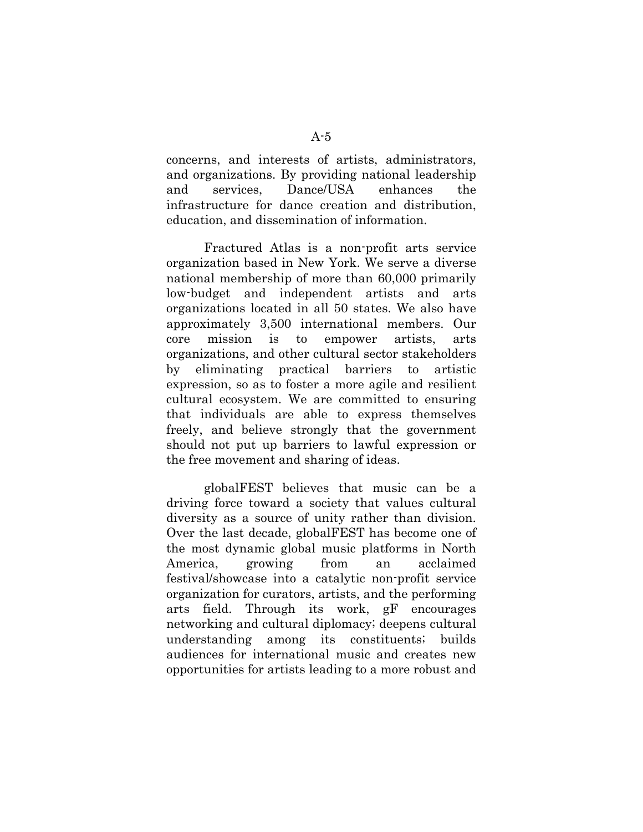concerns, and interests of artists, administrators, and organizations. By providing national leadership and services, Dance/USA enhances the infrastructure for dance creation and distribution, education, and dissemination of information.

Fractured Atlas is a non-profit arts service organization based in New York. We serve a diverse national membership of more than 60,000 primarily low-budget and independent artists and arts organizations located in all 50 states. We also have approximately 3,500 international members. Our core mission is to empower artists, arts organizations, and other cultural sector stakeholders by eliminating practical barriers to artistic expression, so as to foster a more agile and resilient cultural ecosystem. We are committed to ensuring that individuals are able to express themselves freely, and believe strongly that the government should not put up barriers to lawful expression or the free movement and sharing of ideas.

globalFEST believes that music can be a driving force toward a society that values cultural diversity as a source of unity rather than division. Over the last decade, globalFEST has become one of the most dynamic global music platforms in North America, growing from an acclaimed festival/showcase into a catalytic non-profit service organization for curators, artists, and the performing arts field. Through its work, gF encourages networking and cultural diplomacy; deepens cultural understanding among its constituents; builds audiences for international music and creates new opportunities for artists leading to a more robust and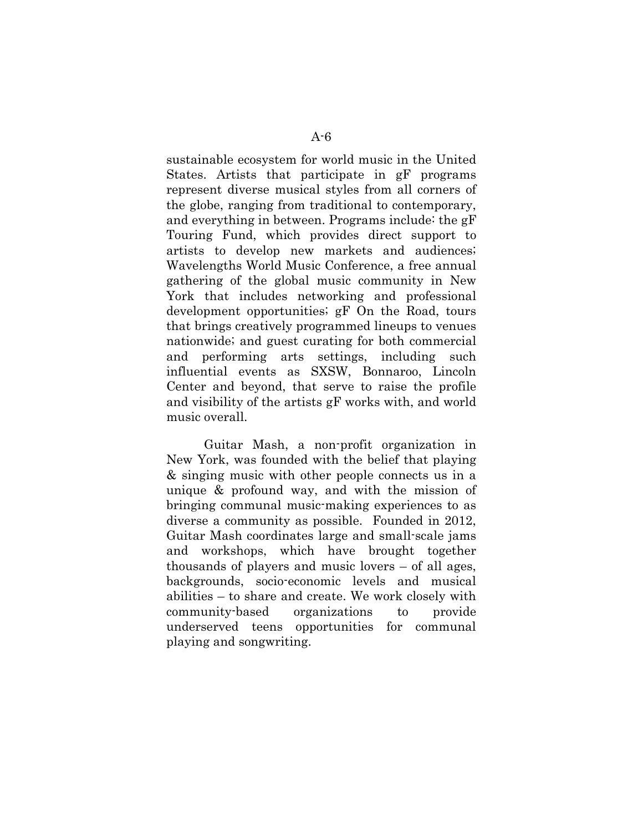sustainable ecosystem for world music in the United States. Artists that participate in gF programs represent diverse musical styles from all corners of the globe, ranging from traditional to contemporary, and everything in between. Programs include: the gF Touring Fund, which provides direct support to artists to develop new markets and audiences; Wavelengths World Music Conference, a free annual gathering of the global music community in New York that includes networking and professional development opportunities; gF On the Road, tours that brings creatively programmed lineups to venues nationwide; and guest curating for both commercial and performing arts settings, including such influential events as SXSW, Bonnaroo, Lincoln Center and beyond, that serve to raise the profile and visibility of the artists gF works with, and world music overall.

Guitar Mash, a non-profit organization in New York, was founded with the belief that playing & singing music with other people connects us in a unique & profound way, and with the mission of bringing communal music-making experiences to as diverse a community as possible. Founded in 2012, Guitar Mash coordinates large and small-scale jams and workshops, which have brought together thousands of players and music lovers – of all ages, backgrounds, socio-economic levels and musical abilities – to share and create. We work closely with community-based organizations to provide underserved teens opportunities for communal playing and songwriting.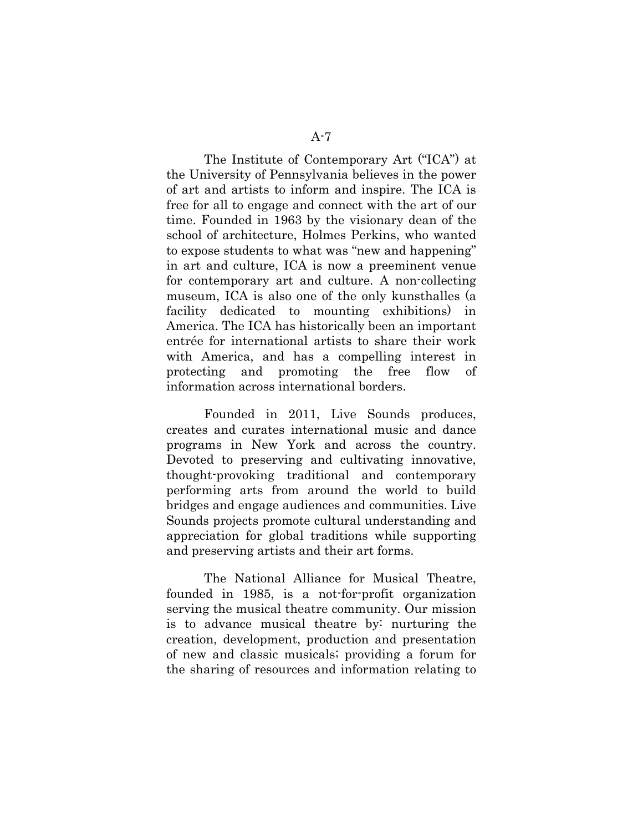The Institute of Contemporary Art ("ICA") at the University of Pennsylvania believes in the power of art and artists to inform and inspire. The ICA is free for all to engage and connect with the art of our time. Founded in 1963 by the visionary dean of the school of architecture, Holmes Perkins, who wanted to expose students to what was "new and happening" in art and culture, ICA is now a preeminent venue for contemporary art and culture. A non-collecting museum, ICA is also one of the only kunsthalles (a facility dedicated to mounting exhibitions) in America. The ICA has historically been an important entrée for international artists to share their work with America, and has a compelling interest in protecting and promoting the free flow of information across international borders.

Founded in 2011, Live Sounds produces, creates and curates international music and dance programs in New York and across the country. Devoted to preserving and cultivating innovative, thought-provoking traditional and contemporary performing arts from around the world to build bridges and engage audiences and communities. Live Sounds projects promote cultural understanding and appreciation for global traditions while supporting and preserving artists and their art forms.

The National Alliance for Musical Theatre, founded in 1985, is a not-for-profit organization serving the musical theatre community. Our mission is to advance musical theatre by: nurturing the creation, development, production and presentation of new and classic musicals; providing a forum for the sharing of resources and information relating to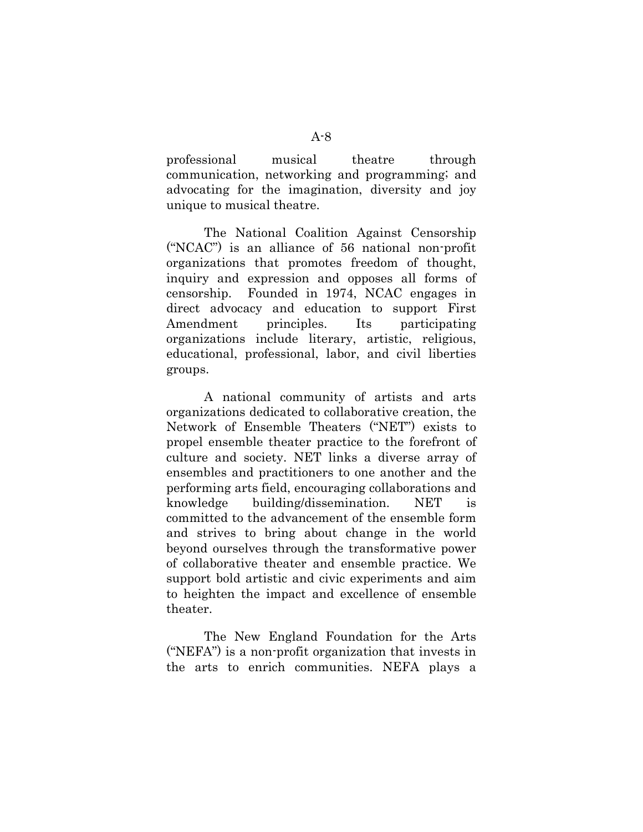professional musical theatre through communication, networking and programming; and advocating for the imagination, diversity and joy unique to musical theatre.

The National Coalition Against Censorship ("NCAC") is an alliance of 56 national non-profit organizations that promotes freedom of thought, inquiry and expression and opposes all forms of censorship. Founded in 1974, NCAC engages in direct advocacy and education to support First Amendment principles. Its participating organizations include literary, artistic, religious, educational, professional, labor, and civil liberties groups.

A national community of artists and arts organizations dedicated to collaborative creation, the Network of Ensemble Theaters ("NET") exists to propel ensemble theater practice to the forefront of culture and society. NET links a diverse array of ensembles and practitioners to one another and the performing arts field, encouraging collaborations and knowledge building/dissemination. NET is committed to the advancement of the ensemble form and strives to bring about change in the world beyond ourselves through the transformative power of collaborative theater and ensemble practice. We support bold artistic and civic experiments and aim to heighten the impact and excellence of ensemble theater.

The New England Foundation for the Arts ("NEFA") is a non-profit organization that invests in the arts to enrich communities. NEFA plays a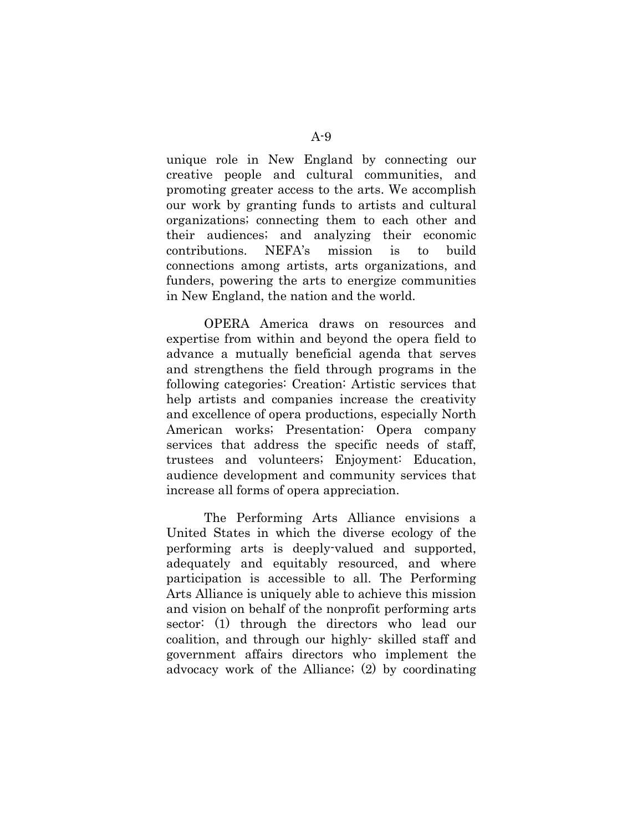unique role in New England by connecting our creative people and cultural communities, and promoting greater access to the arts. We accomplish our work by granting funds to artists and cultural organizations; connecting them to each other and their audiences; and analyzing their economic contributions. NEFA's mission is to build connections among artists, arts organizations, and funders, powering the arts to energize communities in New England, the nation and the world.

OPERA America draws on resources and expertise from within and beyond the opera field to advance a mutually beneficial agenda that serves and strengthens the field through programs in the following categories: Creation: Artistic services that help artists and companies increase the creativity and excellence of opera productions, especially North American works; Presentation: Opera company services that address the specific needs of staff, trustees and volunteers; Enjoyment: Education, audience development and community services that increase all forms of opera appreciation.

The Performing Arts Alliance envisions a United States in which the diverse ecology of the performing arts is deeply-valued and supported, adequately and equitably resourced, and where participation is accessible to all. The Performing Arts Alliance is uniquely able to achieve this mission and vision on behalf of the nonprofit performing arts sector: (1) through the directors who lead our coalition, and through our highly- skilled staff and government affairs directors who implement the advocacy work of the Alliance; (2) by coordinating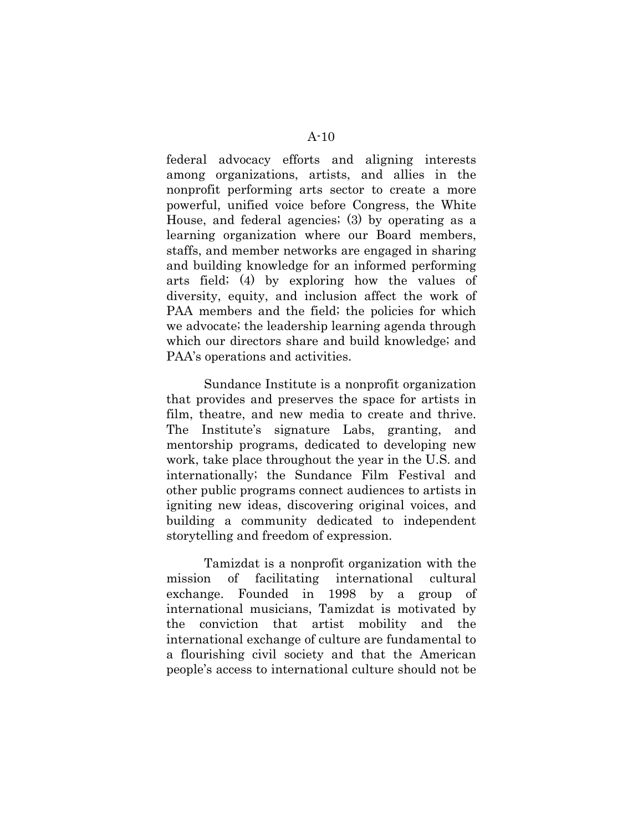federal advocacy efforts and aligning interests among organizations, artists, and allies in the nonprofit performing arts sector to create a more powerful, unified voice before Congress, the White House, and federal agencies; (3) by operating as a learning organization where our Board members, staffs, and member networks are engaged in sharing and building knowledge for an informed performing arts field; (4) by exploring how the values of diversity, equity, and inclusion affect the work of PAA members and the field; the policies for which we advocate; the leadership learning agenda through

Sundance Institute is a nonprofit organization that provides and preserves the space for artists in film, theatre, and new media to create and thrive. The Institute's signature Labs, granting, and mentorship programs, dedicated to developing new work, take place throughout the year in the U.S. and internationally; the Sundance Film Festival and other public programs connect audiences to artists in igniting new ideas, discovering original voices, and building a community dedicated to independent storytelling and freedom of expression.

which our directors share and build knowledge; and

PAA's operations and activities.

Tamizdat is a nonprofit organization with the mission of facilitating international cultural exchange. Founded in 1998 by a group of international musicians, Tamizdat is motivated by the conviction that artist mobility and the international exchange of culture are fundamental to a flourishing civil society and that the American people's access to international culture should not be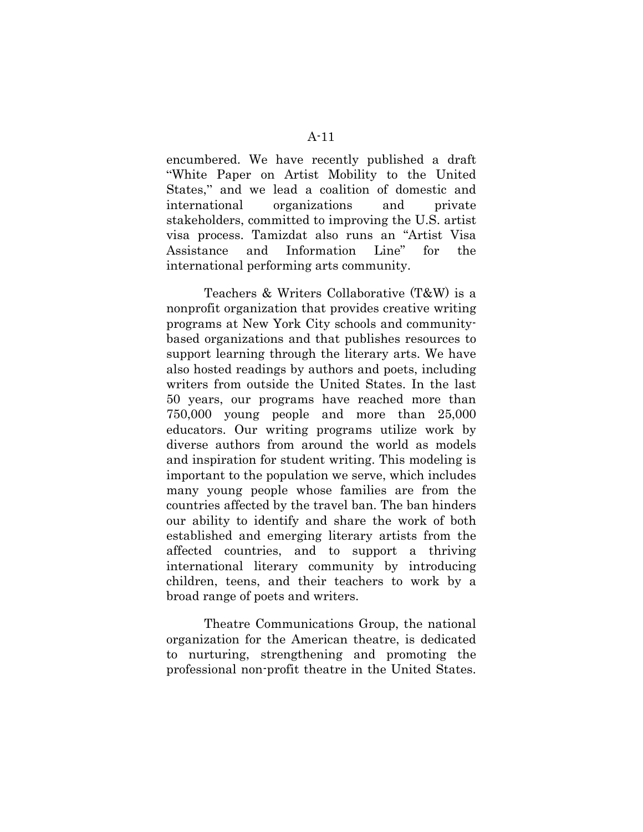encumbered. We have recently published a draft "White Paper on Artist Mobility to the United States," and we lead a coalition of domestic and international organizations and private stakeholders, committed to improving the U.S. artist visa process. Tamizdat also runs an "Artist Visa Assistance and Information Line" for the international performing arts community.

Teachers & Writers Collaborative (T&W) is a nonprofit organization that provides creative writing programs at New York City schools and communitybased organizations and that publishes resources to support learning through the literary arts. We have also hosted readings by authors and poets, including writers from outside the United States. In the last 50 years, our programs have reached more than 750,000 young people and more than 25,000 educators. Our writing programs utilize work by diverse authors from around the world as models and inspiration for student writing. This modeling is important to the population we serve, which includes many young people whose families are from the countries affected by the travel ban. The ban hinders our ability to identify and share the work of both established and emerging literary artists from the affected countries, and to support a thriving international literary community by introducing children, teens, and their teachers to work by a broad range of poets and writers.

Theatre Communications Group, the national organization for the American theatre, is dedicated to nurturing, strengthening and promoting the professional non-profit theatre in the United States.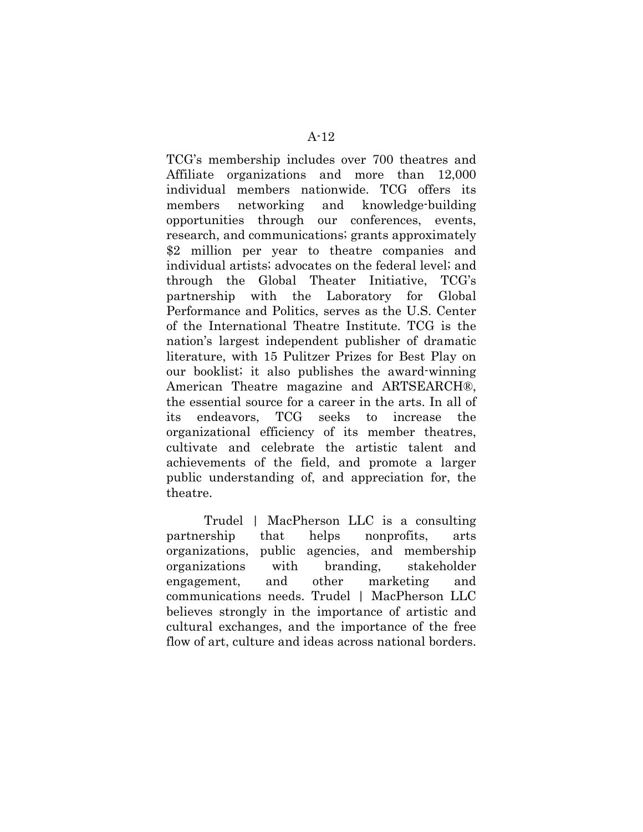TCG's membership includes over 700 theatres and Affiliate organizations and more than 12,000 individual members nationwide. TCG offers its members networking and knowledge-building opportunities through our conferences, events, research, and communications; grants approximately \$2 million per year to theatre companies and individual artists; advocates on the federal level; and through the Global Theater Initiative, TCG's partnership with the Laboratory for Global Performance and Politics, serves as the U.S. Center of the International Theatre Institute. TCG is the nation's largest independent publisher of dramatic literature, with 15 Pulitzer Prizes for Best Play on our booklist; it also publishes the award-winning American Theatre magazine and ARTSEARCH®, the essential source for a career in the arts. In all of its endeavors, TCG seeks to increase the organizational efficiency of its member theatres, cultivate and celebrate the artistic talent and achievements of the field, and promote a larger public understanding of, and appreciation for, the theatre.

Trudel | MacPherson LLC is a consulting partnership that helps nonprofits, arts organizations, public agencies, and membership organizations with branding, stakeholder engagement, and other marketing and communications needs. Trudel | MacPherson LLC believes strongly in the importance of artistic and cultural exchanges, and the importance of the free flow of art, culture and ideas across national borders.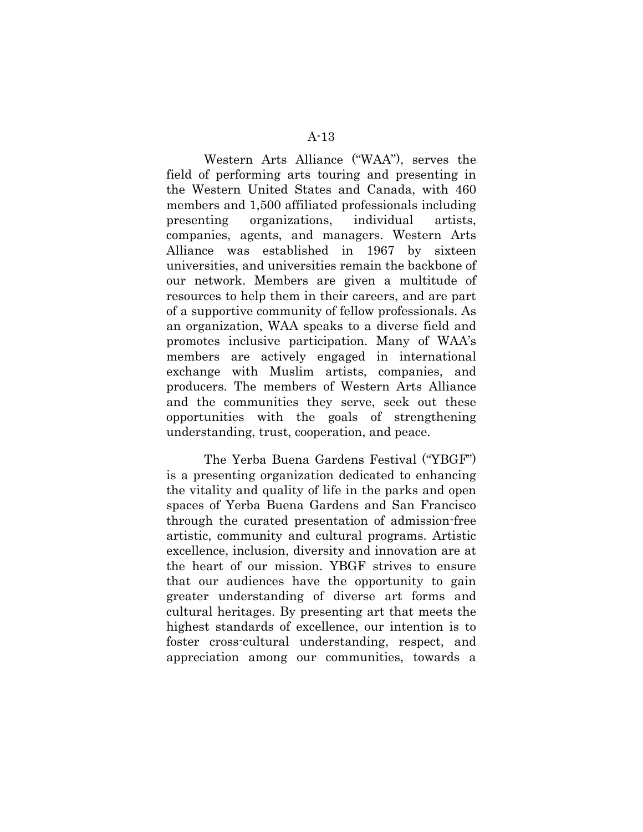Western Arts Alliance ("WAA"), serves the field of performing arts touring and presenting in the Western United States and Canada, with 460 members and 1,500 affiliated professionals including presenting organizations, individual artists, companies, agents, and managers. Western Arts Alliance was established in 1967 by sixteen universities, and universities remain the backbone of our network. Members are given a multitude of resources to help them in their careers, and are part of a supportive community of fellow professionals. As an organization, WAA speaks to a diverse field and promotes inclusive participation. Many of WAA's members are actively engaged in international exchange with Muslim artists, companies, and producers. The members of Western Arts Alliance and the communities they serve, seek out these opportunities with the goals of strengthening understanding, trust, cooperation, and peace.

The Yerba Buena Gardens Festival ("YBGF") is a presenting organization dedicated to enhancing the vitality and quality of life in the parks and open spaces of Yerba Buena Gardens and San Francisco through the curated presentation of admission-free artistic, community and cultural programs. Artistic excellence, inclusion, diversity and innovation are at the heart of our mission. YBGF strives to ensure that our audiences have the opportunity to gain greater understanding of diverse art forms and cultural heritages. By presenting art that meets the highest standards of excellence, our intention is to foster cross-cultural understanding, respect, and appreciation among our communities, towards a